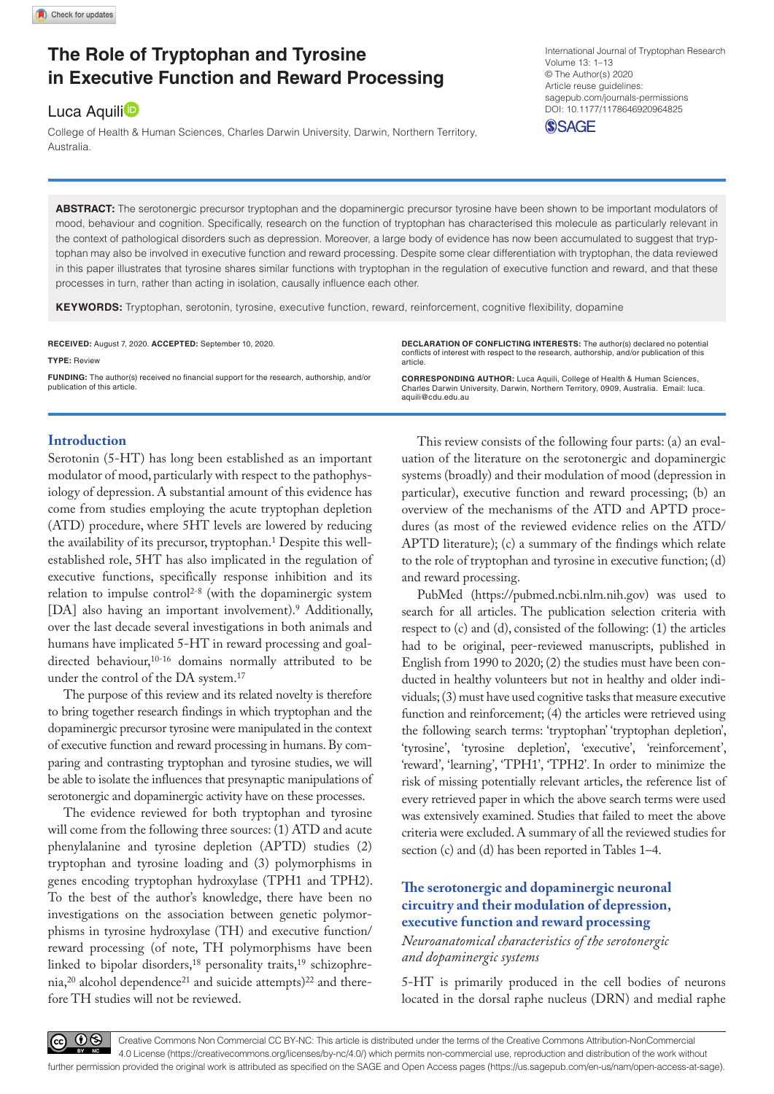# **The Role of Tryptophan and Tyrosine in Executive Function and Reward Processing**

# Luca Aquili<sup>D</sup>

College of Health & Human Sciences, Charles Darwin University, Darwin, Northern Territory, **Australia** 

DOI: 10.1177/1178646920964825 International Journal of Tryptophan Research Volume 13: 1–13 © The Author(s) 2020 Article reuse guidelines: [sagepub.com/journals-permissions](https://uk.sagepub.com/en-gb/journals-permissions)



**ABSTRACT:** The serotonergic precursor tryptophan and the dopaminergic precursor tyrosine have been shown to be important modulators of mood, behaviour and cognition. Specifically, research on the function of tryptophan has characterised this molecule as particularly relevant in the context of pathological disorders such as depression. Moreover, a large body of evidence has now been accumulated to suggest that tryptophan may also be involved in executive function and reward processing. Despite some clear differentiation with tryptophan, the data reviewed in this paper illustrates that tyrosine shares similar functions with tryptophan in the regulation of executive function and reward, and that these processes in turn, rather than acting in isolation, causally influence each other.

KEYWORDS: Tryptophan, serotonin, tyrosine, executive function, reward, reinforcement, cognitive flexibility, dopamine

**RECEIVED:** August 7, 2020. **ACCEPTED:** September 10, 2020.

#### **Type:** Review

**Funding:** The author(s) received no financial support for the research, authorship, and/or publication of this article.

**Declaration of conflicting interests:** The author(s) declared no potential conflicts of interest with respect to the research, authorship, and/or publication of this article.

**CORRESPONDING AUTHOR:** Luca Aquili, College of Health & Human Sciences, Charles Darwin University, Darwin, Northern Territory, 0909, Australia. Email: [luca.](mailto:luca.aquili@cdu.edu.au) [aquili@cdu.edu.au](mailto:luca.aquili@cdu.edu.au)

### **Introduction**

Serotonin (5-HT) has long been established as an important modulator of mood, particularly with respect to the pathophysiology of depression. A substantial amount of this evidence has come from studies employing the acute tryptophan depletion (ATD) procedure, where 5HT levels are lowered by reducing the availability of its precursor, tryptophan.<sup>1</sup> Despite this wellestablished role, 5HT has also implicated in the regulation of executive functions, specifically response inhibition and its relation to impulse control<sup>2-8</sup> (with the dopaminergic system [DA] also having an important involvement).<sup>9</sup> Additionally, over the last decade several investigations in both animals and humans have implicated 5-HT in reward processing and goaldirected behaviour,<sup>10-16</sup> domains normally attributed to be under the control of the DA system.17

The purpose of this review and its related novelty is therefore to bring together research findings in which tryptophan and the dopaminergic precursor tyrosine were manipulated in the context of executive function and reward processing in humans. By comparing and contrasting tryptophan and tyrosine studies, we will be able to isolate the influences that presynaptic manipulations of serotonergic and dopaminergic activity have on these processes.

The evidence reviewed for both tryptophan and tyrosine will come from the following three sources: (1) ATD and acute phenylalanine and tyrosine depletion (APTD) studies (2) tryptophan and tyrosine loading and (3) polymorphisms in genes encoding tryptophan hydroxylase (TPH1 and TPH2). To the best of the author's knowledge, there have been no investigations on the association between genetic polymorphisms in tyrosine hydroxylase (TH) and executive function/ reward processing (of note, TH polymorphisms have been linked to bipolar disorders,<sup>18</sup> personality traits,<sup>19</sup> schizophrenia,<sup>20</sup> alcohol dependence<sup>21</sup> and suicide attempts)<sup>22</sup> and therefore TH studies will not be reviewed.

This review consists of the following four parts: (a) an evaluation of the literature on the serotonergic and dopaminergic systems (broadly) and their modulation of mood (depression in particular), executive function and reward processing; (b) an overview of the mechanisms of the ATD and APTD procedures (as most of the reviewed evidence relies on the ATD/ APTD literature); (c) a summary of the findings which relate to the role of tryptophan and tyrosine in executive function; (d) and reward processing.

PubMed [\(https://pubmed.ncbi.nlm.nih.gov\)](https://pubmed.ncbi.nlm.nih.gov) was used to search for all articles. The publication selection criteria with respect to (c) and (d), consisted of the following: (1) the articles had to be original, peer-reviewed manuscripts, published in English from 1990 to 2020; (2) the studies must have been conducted in healthy volunteers but not in healthy and older individuals; (3) must have used cognitive tasks that measure executive function and reinforcement; (4) the articles were retrieved using the following search terms: 'tryptophan' 'tryptophan depletion', 'tyrosine', 'tyrosine depletion', 'executive', 'reinforcement', 'reward', 'learning', 'TPH1', 'TPH2'. In order to minimize the risk of missing potentially relevant articles, the reference list of every retrieved paper in which the above search terms were used was extensively examined. Studies that failed to meet the above criteria were excluded. A summary of all the reviewed studies for section (c) and (d) has been reported in Tables 1–4.

### **The serotonergic and dopaminergic neuronal circuitry and their modulation of depression, executive function and reward processing**

### *Neuroanatomical characteristics of the serotonergic and dopaminergic systems*

5-HT is primarily produced in the cell bodies of neurons located in the dorsal raphe nucleus (DRN) and medial raphe



Creative Commons Non Commercial CC BY-NC: This article is distributed under the terms of the Creative Commons Attribution-NonCommercial **BY** 4.0 License (https://creativecommons.org/licenses/by-nc/4.0/) which permits non-commercial use, reproduction and distribution of the work without further permission provided the original work is attributed as specified on the SAGE and Open Access pages (https://us.sagepub.com/en-us/nam/open-access-at-sage).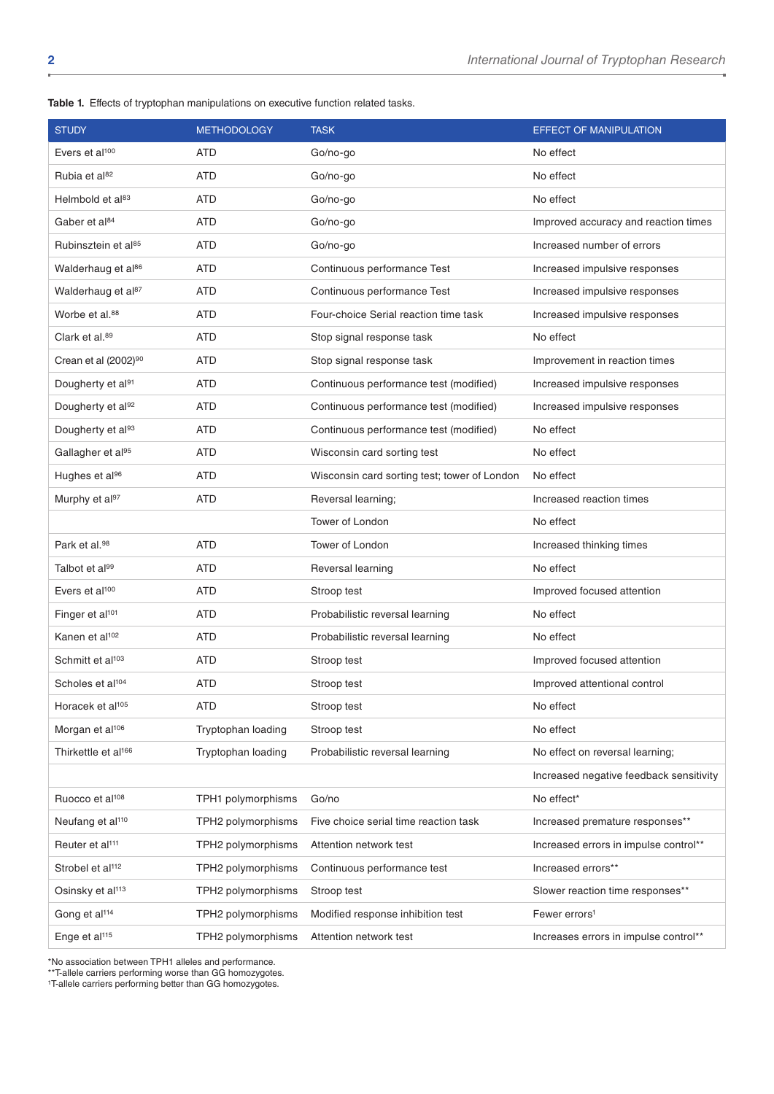**Table 1.** Effects of tryptophan manipulations on executive function related tasks.

| <b>STUDY</b>                     | <b>METHODOLOGY</b> | <b>TASK</b>                                  | <b>EFFECT OF MANIPULATION</b>           |
|----------------------------------|--------------------|----------------------------------------------|-----------------------------------------|
| Evers et al <sup>100</sup>       | <b>ATD</b>         | Go/no-go                                     | No effect                               |
| Rubia et al <sup>82</sup>        | <b>ATD</b>         | Go/no-go                                     | No effect                               |
| Helmbold et al <sup>83</sup>     | <b>ATD</b>         | Go/no-go                                     | No effect                               |
| Gaber et al <sup>84</sup>        | ATD                | Go/no-go                                     | Improved accuracy and reaction times    |
| Rubinsztein et al <sup>85</sup>  | <b>ATD</b>         | Go/no-go                                     | Increased number of errors              |
| Walderhaug et al86               | <b>ATD</b>         | Continuous performance Test                  | Increased impulsive responses           |
| Walderhaug et al <sup>87</sup>   | <b>ATD</b>         | Continuous performance Test                  | Increased impulsive responses           |
| Worbe et al. <sup>88</sup>       | <b>ATD</b>         | Four-choice Serial reaction time task        | Increased impulsive responses           |
| Clark et al. <sup>89</sup>       | <b>ATD</b>         | Stop signal response task                    | No effect                               |
| Crean et al (2002) <sup>90</sup> | <b>ATD</b>         | Stop signal response task                    | Improvement in reaction times           |
| Dougherty et al91                | <b>ATD</b>         | Continuous performance test (modified)       | Increased impulsive responses           |
| Dougherty et al92                | <b>ATD</b>         | Continuous performance test (modified)       | Increased impulsive responses           |
| Dougherty et al93                | <b>ATD</b>         | Continuous performance test (modified)       | No effect                               |
| Gallagher et al <sup>95</sup>    | <b>ATD</b>         | Wisconsin card sorting test                  | No effect                               |
| Hughes et al <sup>96</sup>       | <b>ATD</b>         | Wisconsin card sorting test; tower of London | No effect                               |
| Murphy et al97                   | ATD                | Reversal learning;                           | Increased reaction times                |
|                                  |                    | Tower of London                              | No effect                               |
| Park et al. <sup>98</sup>        | <b>ATD</b>         | Tower of London                              | Increased thinking times                |
| Talbot et al99                   | <b>ATD</b>         | Reversal learning                            | No effect                               |
| Evers et al <sup>100</sup>       | <b>ATD</b>         | Stroop test                                  | Improved focused attention              |
| Finger et al <sup>101</sup>      | ATD                | Probabilistic reversal learning              | No effect                               |
| Kanen et al <sup>102</sup>       | <b>ATD</b>         | Probabilistic reversal learning              | No effect                               |
| Schmitt et al <sup>103</sup>     | <b>ATD</b>         | Stroop test                                  | Improved focused attention              |
| Scholes et al <sup>104</sup>     | <b>ATD</b>         | Stroop test                                  | Improved attentional control            |
| Horacek et al <sup>105</sup>     | <b>ATD</b>         | Stroop test                                  | No effect                               |
| Morgan et al <sup>106</sup>      | Tryptophan loading | Stroop test                                  | No effect                               |
| Thirkettle et al <sup>166</sup>  | Tryptophan loading | Probabilistic reversal learning              | No effect on reversal learning;         |
|                                  |                    |                                              | Increased negative feedback sensitivity |
| Ruocco et al <sup>108</sup>      | TPH1 polymorphisms | Go/no                                        | No effect*                              |
| Neufang et al <sup>110</sup>     | TPH2 polymorphisms | Five choice serial time reaction task        | Increased premature responses**         |
| Reuter et al <sup>111</sup>      | TPH2 polymorphisms | Attention network test                       | Increased errors in impulse control**   |
| Strobel et al <sup>112</sup>     | TPH2 polymorphisms | Continuous performance test                  | Increased errors**                      |
| Osinsky et al <sup>113</sup>     | TPH2 polymorphisms | Stroop test                                  | Slower reaction time responses**        |
| Gong et al <sup>114</sup>        | TPH2 polymorphisms | Modified response inhibition test            | Fewer errors <sup>1</sup>               |
| Enge et al <sup>115</sup>        | TPH2 polymorphisms | Attention network test                       | Increases errors in impulse control**   |

\*No association between TPH1 alleles and performance.

\*\*T-allele carriers performing worse than GG homozygotes.

<sup>1</sup>T-allele carriers performing better than GG homozygotes.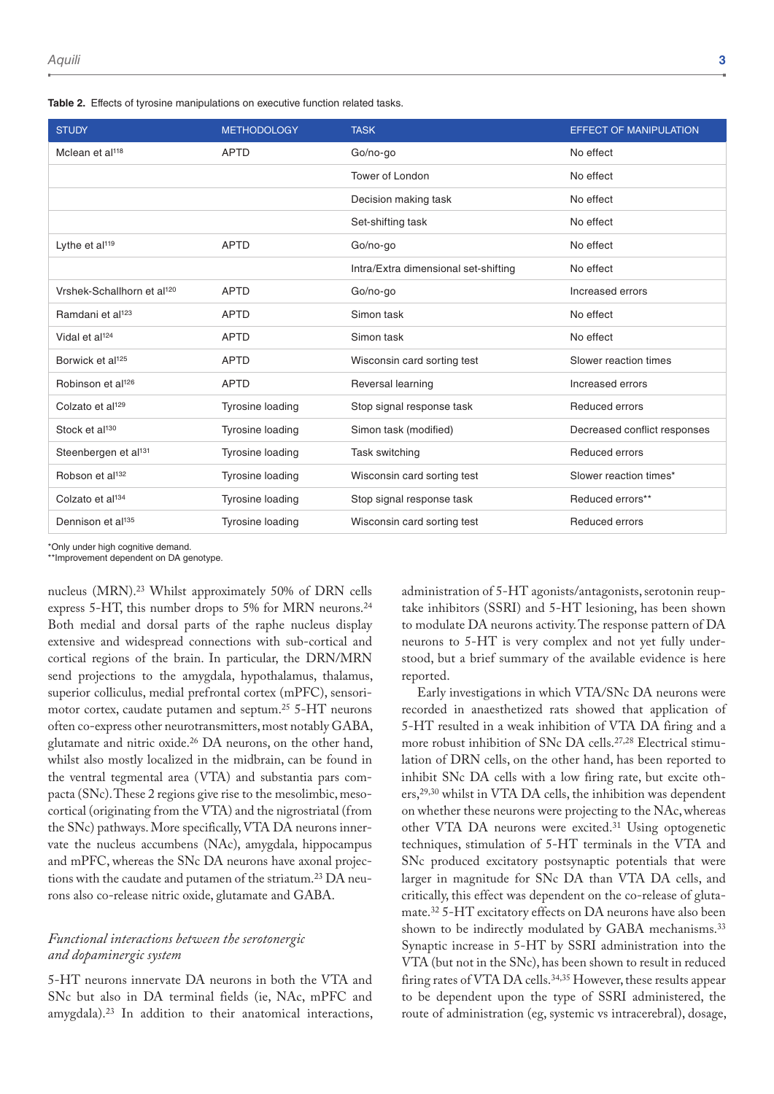|  |  |  | Table 2. Effects of tyrosine manipulations on executive function related tasks. |  |  |  |  |  |
|--|--|--|---------------------------------------------------------------------------------|--|--|--|--|--|
|--|--|--|---------------------------------------------------------------------------------|--|--|--|--|--|

| <b>STUDY</b>                           | <b>METHODOLOGY</b> | <b>TASK</b>                          | <b>EFFECT OF MANIPULATION</b> |
|----------------------------------------|--------------------|--------------------------------------|-------------------------------|
| Mclean et al <sup>118</sup>            | <b>APTD</b>        | Go/no-go                             | No effect                     |
|                                        |                    | Tower of London                      | No effect                     |
|                                        |                    | Decision making task                 | No effect                     |
|                                        |                    | Set-shifting task                    | No effect                     |
| Lythe et al <sup>119</sup>             | <b>APTD</b>        | Go/no-go                             | No effect                     |
|                                        |                    | Intra/Extra dimensional set-shifting | No effect                     |
| Vrshek-Schallhorn et al <sup>120</sup> | <b>APTD</b>        | Go/no-go                             | Increased errors              |
| Ramdani et al <sup>123</sup>           | <b>APTD</b>        | Simon task                           | No effect                     |
| Vidal et al <sup>124</sup>             | <b>APTD</b>        | Simon task                           | No effect                     |
| Borwick et al <sup>125</sup>           | <b>APTD</b>        | Wisconsin card sorting test          | Slower reaction times         |
| Robinson et al <sup>126</sup>          | <b>APTD</b>        | Reversal learning                    | Increased errors              |
| Colzato et al <sup>129</sup>           | Tyrosine loading   | Stop signal response task            | Reduced errors                |
| Stock et al <sup>130</sup>             | Tyrosine loading   | Simon task (modified)                | Decreased conflict responses  |
| Steenbergen et al <sup>131</sup>       | Tyrosine loading   | Task switching                       | Reduced errors                |
| Robson et al <sup>132</sup>            | Tyrosine loading   | Wisconsin card sorting test          | Slower reaction times*        |
| Colzato et al <sup>134</sup>           | Tyrosine loading   | Stop signal response task            | Reduced errors**              |
| Dennison et al <sup>135</sup>          | Tyrosine loading   | Wisconsin card sorting test          | Reduced errors                |

\*Only under high cognitive demand.

\*\*Improvement dependent on DA genotype.

nucleus (MRN).23 Whilst approximately 50% of DRN cells express 5-HT, this number drops to 5% for MRN neurons.<sup>24</sup> Both medial and dorsal parts of the raphe nucleus display extensive and widespread connections with sub-cortical and cortical regions of the brain. In particular, the DRN/MRN send projections to the amygdala, hypothalamus, thalamus, superior colliculus, medial prefrontal cortex (mPFC), sensorimotor cortex, caudate putamen and septum.25 5-HT neurons often co-express other neurotransmitters, most notably GABA, glutamate and nitric oxide.26 DA neurons, on the other hand, whilst also mostly localized in the midbrain, can be found in the ventral tegmental area (VTA) and substantia pars compacta (SNc). These 2 regions give rise to the mesolimbic, mesocortical (originating from the VTA) and the nigrostriatal (from the SNc) pathways. More specifically, VTA DA neurons innervate the nucleus accumbens (NAc), amygdala, hippocampus and mPFC, whereas the SNc DA neurons have axonal projections with the caudate and putamen of the striatum.<sup>23</sup> DA neurons also co-release nitric oxide, glutamate and GABA.

#### *Functional interactions between the serotonergic and dopaminergic system*

5-HT neurons innervate DA neurons in both the VTA and SNc but also in DA terminal fields (ie, NAc, mPFC and amygdala).23 In addition to their anatomical interactions,

administration of 5-HT agonists/antagonists, serotonin reuptake inhibitors (SSRI) and 5-HT lesioning, has been shown to modulate DA neurons activity. The response pattern of DA neurons to 5-HT is very complex and not yet fully understood, but a brief summary of the available evidence is here reported.

Early investigations in which VTA/SNc DA neurons were recorded in anaesthetized rats showed that application of 5-HT resulted in a weak inhibition of VTA DA firing and a more robust inhibition of SNc DA cells.27,28 Electrical stimulation of DRN cells, on the other hand, has been reported to inhibit SNc DA cells with a low firing rate, but excite others,29,30 whilst in VTA DA cells, the inhibition was dependent on whether these neurons were projecting to the NAc, whereas other VTA DA neurons were excited.31 Using optogenetic techniques, stimulation of 5-HT terminals in the VTA and SNc produced excitatory postsynaptic potentials that were larger in magnitude for SNc DA than VTA DA cells, and critically, this effect was dependent on the co-release of glutamate.32 5-HT excitatory effects on DA neurons have also been shown to be indirectly modulated by GABA mechanisms.<sup>33</sup> Synaptic increase in 5-HT by SSRI administration into the VTA (but not in the SNc), has been shown to result in reduced firing rates of VTA DA cells.<sup>34,35</sup> However, these results appear to be dependent upon the type of SSRI administered, the route of administration (eg, systemic vs intracerebral), dosage,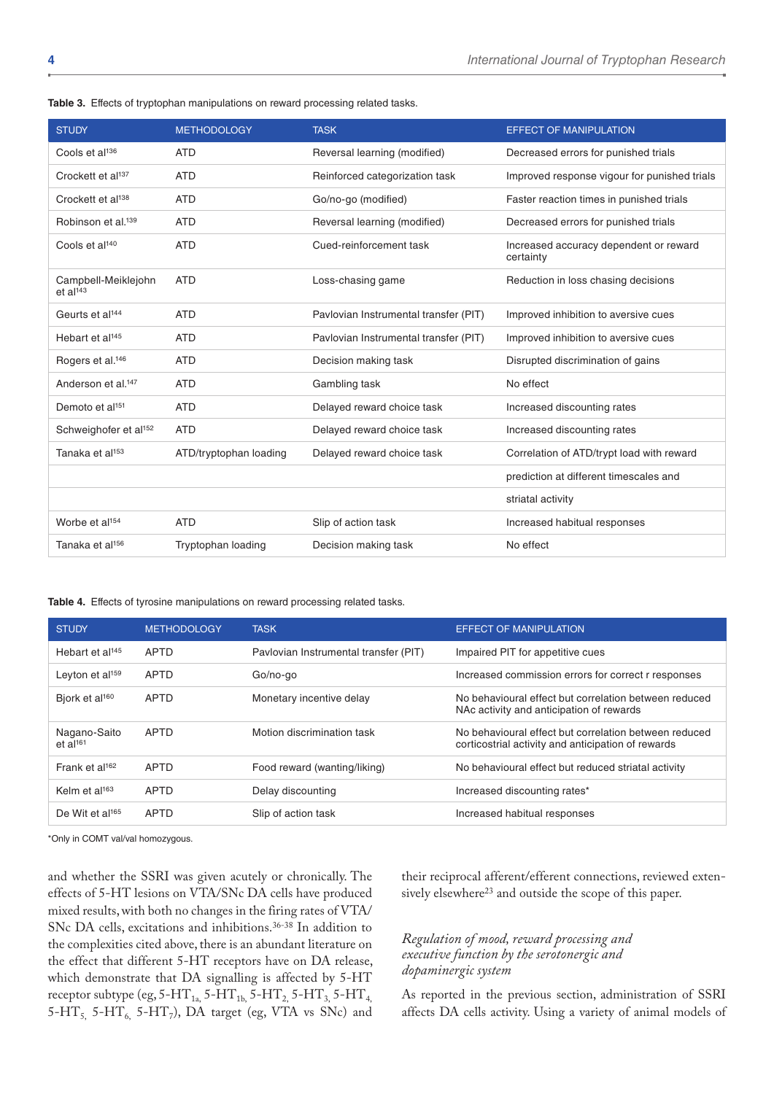|  |  |  |  |  |  |  |  |  | Table 3. Effects of tryptophan manipulations on reward processing related tasks. |  |  |
|--|--|--|--|--|--|--|--|--|----------------------------------------------------------------------------------|--|--|
|--|--|--|--|--|--|--|--|--|----------------------------------------------------------------------------------|--|--|

| <b>STUDY</b>                                  | <b>METHODOLOGY</b>     | <b>TASK</b>                           | <b>EFFECT OF MANIPULATION</b>                       |
|-----------------------------------------------|------------------------|---------------------------------------|-----------------------------------------------------|
| Cools et al <sup>136</sup>                    | <b>ATD</b>             | Reversal learning (modified)          | Decreased errors for punished trials                |
| Crockett et al <sup>137</sup>                 | <b>ATD</b>             | Reinforced categorization task        | Improved response vigour for punished trials        |
| Crockett et al <sup>138</sup>                 | <b>ATD</b>             | Go/no-go (modified)                   | Faster reaction times in punished trials            |
| Robinson et al. <sup>139</sup>                | <b>ATD</b>             | Reversal learning (modified)          | Decreased errors for punished trials                |
| Cools et al <sup>140</sup>                    | <b>ATD</b>             | Cued-reinforcement task               | Increased accuracy dependent or reward<br>certainty |
| Campbell-Meiklejohn<br>$et$ al <sup>143</sup> | <b>ATD</b>             | Loss-chasing game                     | Reduction in loss chasing decisions                 |
| Geurts et al <sup>144</sup>                   | <b>ATD</b>             | Pavlovian Instrumental transfer (PIT) | Improved inhibition to aversive cues                |
| Hebart et al <sup>145</sup>                   | <b>ATD</b>             | Pavlovian Instrumental transfer (PIT) | Improved inhibition to aversive cues                |
| Rogers et al. <sup>146</sup>                  | <b>ATD</b>             | Decision making task                  | Disrupted discrimination of gains                   |
| Anderson et al. <sup>147</sup>                | <b>ATD</b>             | Gambling task                         | No effect                                           |
| Demoto et al <sup>151</sup>                   | <b>ATD</b>             | Delayed reward choice task            | Increased discounting rates                         |
| Schweighofer et al <sup>152</sup>             | <b>ATD</b>             | Delayed reward choice task            | Increased discounting rates                         |
| Tanaka et al <sup>153</sup>                   | ATD/tryptophan loading | Delayed reward choice task            | Correlation of ATD/trypt load with reward           |
|                                               |                        |                                       | prediction at different timescales and              |
|                                               |                        |                                       | striatal activity                                   |
| Worbe et al <sup>154</sup>                    | <b>ATD</b>             | Slip of action task                   | Increased habitual responses                        |
| Tanaka et al <sup>156</sup>                   | Tryptophan loading     | Decision making task                  | No effect                                           |

**Table 4.** Effects of tyrosine manipulations on reward processing related tasks.

| <b>STUDY</b>                           | <b>METHODOLOGY</b> | <b>TASK</b>                           | <b>EFFECT OF MANIPULATION</b>                                                                               |
|----------------------------------------|--------------------|---------------------------------------|-------------------------------------------------------------------------------------------------------------|
| Hebart et al <sup>145</sup>            | <b>APTD</b>        | Pavlovian Instrumental transfer (PIT) | Impaired PIT for appetitive cues                                                                            |
| Leyton et al <sup>159</sup>            | <b>APTD</b>        | Go/no-go                              | Increased commission errors for correct r responses                                                         |
| Bjork et al <sup>160</sup>             | <b>APTD</b>        | Monetary incentive delay              | No behavioural effect but correlation between reduced<br>NAc activity and anticipation of rewards           |
| Nagano-Saito<br>$et$ al <sup>161</sup> | <b>APTD</b>        | Motion discrimination task            | No behavioural effect but correlation between reduced<br>corticostrial activity and anticipation of rewards |
| Frank et al <sup>162</sup>             | <b>APTD</b>        | Food reward (wanting/liking)          | No behavioural effect but reduced striatal activity                                                         |
| Kelm et $al^{163}$                     | <b>APTD</b>        | Delay discounting                     | Increased discounting rates*                                                                                |
| De Wit et al <sup>165</sup>            | <b>APTD</b>        | Slip of action task                   | Increased habitual responses                                                                                |

\*Only in COMT val/val homozygous.

and whether the SSRI was given acutely or chronically. The effects of 5-HT lesions on VTA/SNc DA cells have produced mixed results, with both no changes in the firing rates of VTA/ SNc DA cells, excitations and inhibitions.36-38 In addition to the complexities cited above, there is an abundant literature on the effect that different 5-HT receptors have on DA release, which demonstrate that DA signalling is affected by 5-HT receptor subtype (eg,  $5-HT_{1a}$ ,  $5-HT_{1b}$ ,  $5-HT_{2}$ ,  $5-HT_{3}$ ,  $5-HT_{4}$ , 5-HT<sub>5,</sub> 5-HT<sub>6,</sub> 5-HT<sub>7</sub>), DA target (eg, VTA vs SNc) and

their reciprocal afferent/efferent connections, reviewed extensively elsewhere<sup>23</sup> and outside the scope of this paper.

### *Regulation of mood, reward processing and executive function by the serotonergic and dopaminergic system*

As reported in the previous section, administration of SSRI affects DA cells activity. Using a variety of animal models of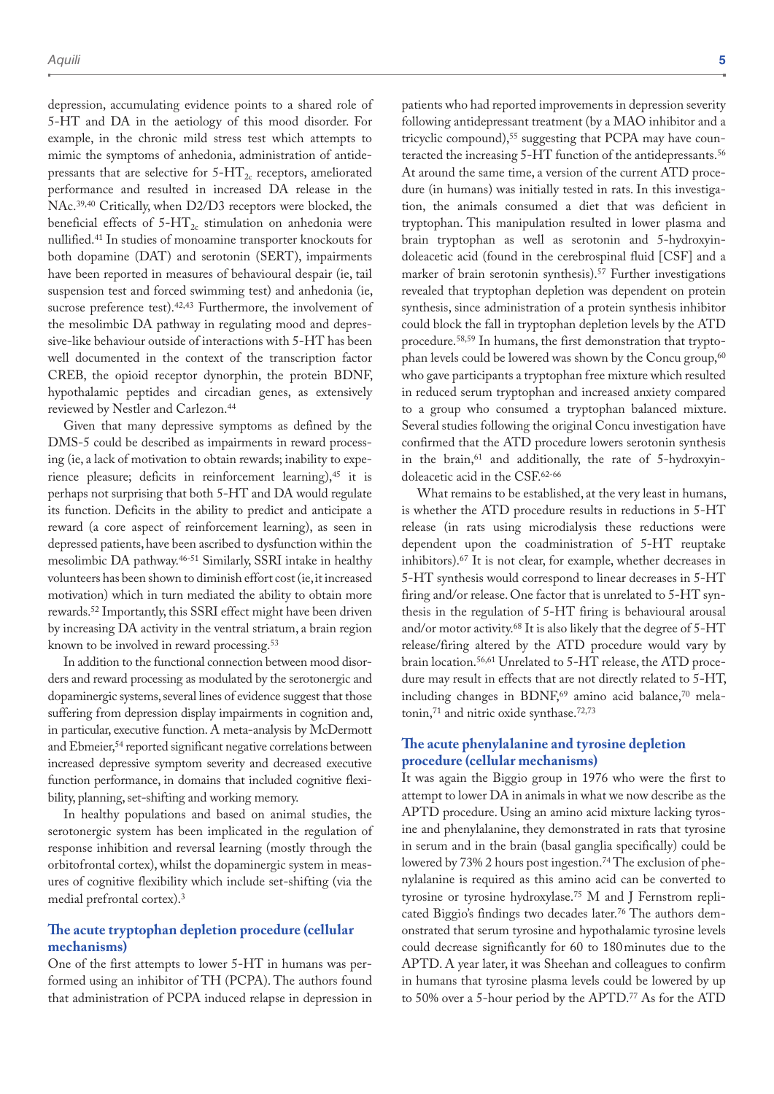depression, accumulating evidence points to a shared role of 5-HT and DA in the aetiology of this mood disorder. For example, in the chronic mild stress test which attempts to mimic the symptoms of anhedonia, administration of antidepressants that are selective for  $5-\text{HT}_{2c}$  receptors, ameliorated performance and resulted in increased DA release in the NAc.39,40 Critically, when D2/D3 receptors were blocked, the beneficial effects of  $5-HT_{2c}$  stimulation on anhedonia were nullified.41 In studies of monoamine transporter knockouts for both dopamine (DAT) and serotonin (SERT), impairments have been reported in measures of behavioural despair (ie, tail suspension test and forced swimming test) and anhedonia (ie, sucrose preference test).<sup>42,43</sup> Furthermore, the involvement of the mesolimbic DA pathway in regulating mood and depressive-like behaviour outside of interactions with 5-HT has been well documented in the context of the transcription factor CREB, the opioid receptor dynorphin, the protein BDNF, hypothalamic peptides and circadian genes, as extensively reviewed by Nestler and Carlezon.44

Given that many depressive symptoms as defined by the DMS-5 could be described as impairments in reward processing (ie, a lack of motivation to obtain rewards; inability to experience pleasure; deficits in reinforcement learning),<sup>45</sup> it is perhaps not surprising that both 5-HT and DA would regulate its function. Deficits in the ability to predict and anticipate a reward (a core aspect of reinforcement learning), as seen in depressed patients, have been ascribed to dysfunction within the mesolimbic DA pathway.46-51 Similarly, SSRI intake in healthy volunteers has been shown to diminish effort cost (ie, it increased motivation) which in turn mediated the ability to obtain more rewards.52 Importantly, this SSRI effect might have been driven by increasing DA activity in the ventral striatum, a brain region known to be involved in reward processing.<sup>53</sup>

In addition to the functional connection between mood disorders and reward processing as modulated by the serotonergic and dopaminergic systems, several lines of evidence suggest that those suffering from depression display impairments in cognition and, in particular, executive function. A meta-analysis by McDermott and Ebmeier,54 reported significant negative correlations between increased depressive symptom severity and decreased executive function performance, in domains that included cognitive flexibility, planning, set-shifting and working memory.

In healthy populations and based on animal studies, the serotonergic system has been implicated in the regulation of response inhibition and reversal learning (mostly through the orbitofrontal cortex), whilst the dopaminergic system in measures of cognitive flexibility which include set-shifting (via the medial prefrontal cortex).3

### **The acute tryptophan depletion procedure (cellular mechanisms)**

One of the first attempts to lower 5-HT in humans was performed using an inhibitor of TH (PCPA). The authors found that administration of PCPA induced relapse in depression in

patients who had reported improvements in depression severity following antidepressant treatment (by a MAO inhibitor and a tricyclic compound),55 suggesting that PCPA may have counteracted the increasing 5-HT function of the antidepressants.<sup>56</sup> At around the same time, a version of the current ATD procedure (in humans) was initially tested in rats. In this investigation, the animals consumed a diet that was deficient in tryptophan. This manipulation resulted in lower plasma and brain tryptophan as well as serotonin and 5-hydroxyindoleacetic acid (found in the cerebrospinal fluid [CSF] and a marker of brain serotonin synthesis).<sup>57</sup> Further investigations revealed that tryptophan depletion was dependent on protein synthesis, since administration of a protein synthesis inhibitor could block the fall in tryptophan depletion levels by the ATD procedure.58,59 In humans, the first demonstration that tryptophan levels could be lowered was shown by the Concu group,<sup>60</sup> who gave participants a tryptophan free mixture which resulted in reduced serum tryptophan and increased anxiety compared to a group who consumed a tryptophan balanced mixture. Several studies following the original Concu investigation have confirmed that the ATD procedure lowers serotonin synthesis in the brain,<sup>61</sup> and additionally, the rate of 5-hydroxyindoleacetic acid in the CSF.62-66

What remains to be established, at the very least in humans, is whether the ATD procedure results in reductions in 5-HT release (in rats using microdialysis these reductions were dependent upon the coadministration of 5-HT reuptake inhibitors).67 It is not clear, for example, whether decreases in 5-HT synthesis would correspond to linear decreases in 5-HT firing and/or release. One factor that is unrelated to 5-HT synthesis in the regulation of 5-HT firing is behavioural arousal and/or motor activity.68 It is also likely that the degree of 5-HT release/firing altered by the ATD procedure would vary by brain location.56,61 Unrelated to 5-HT release, the ATD procedure may result in effects that are not directly related to 5-HT, including changes in BDNF, $69$  amino acid balance, $70$  melatonin,71 and nitric oxide synthase.72,73

### **The acute phenylalanine and tyrosine depletion procedure (cellular mechanisms)**

It was again the Biggio group in 1976 who were the first to attempt to lower DA in animals in what we now describe as the APTD procedure. Using an amino acid mixture lacking tyrosine and phenylalanine, they demonstrated in rats that tyrosine in serum and in the brain (basal ganglia specifically) could be lowered by 73% 2 hours post ingestion.74 The exclusion of phenylalanine is required as this amino acid can be converted to tyrosine or tyrosine hydroxylase.75 M and J Fernstrom replicated Biggio's findings two decades later.<sup>76</sup> The authors demonstrated that serum tyrosine and hypothalamic tyrosine levels could decrease significantly for 60 to 180minutes due to the APTD. A year later, it was Sheehan and colleagues to confirm in humans that tyrosine plasma levels could be lowered by up to 50% over a 5-hour period by the APTD.77 As for the ATD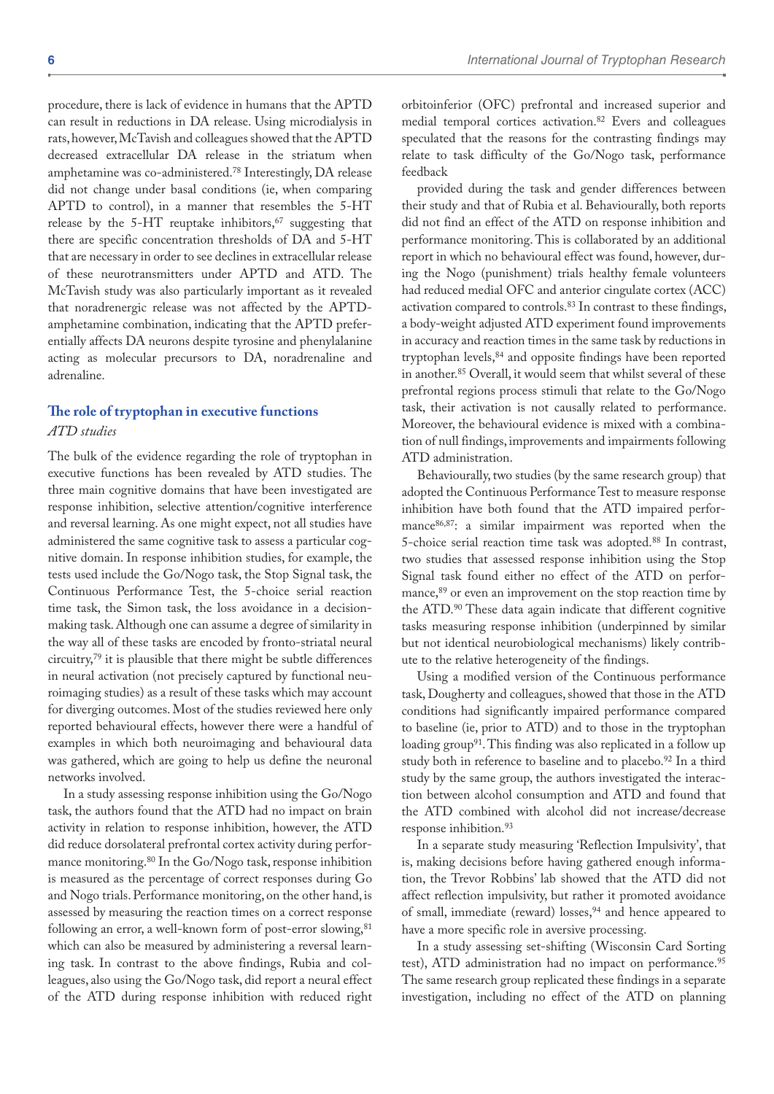procedure, there is lack of evidence in humans that the APTD can result in reductions in DA release. Using microdialysis in rats, however, McTavish and colleagues showed that the APTD decreased extracellular DA release in the striatum when amphetamine was co-administered.78 Interestingly, DA release did not change under basal conditions (ie, when comparing APTD to control), in a manner that resembles the 5-HT release by the 5-HT reuptake inhibitors, $67$  suggesting that there are specific concentration thresholds of DA and 5-HT that are necessary in order to see declines in extracellular release of these neurotransmitters under APTD and ATD. The McTavish study was also particularly important as it revealed that noradrenergic release was not affected by the APTDamphetamine combination, indicating that the APTD preferentially affects DA neurons despite tyrosine and phenylalanine acting as molecular precursors to DA, noradrenaline and adrenaline.

### **The role of tryptophan in executive functions**

#### *ATD studies*

The bulk of the evidence regarding the role of tryptophan in executive functions has been revealed by ATD studies. The three main cognitive domains that have been investigated are response inhibition, selective attention/cognitive interference and reversal learning. As one might expect, not all studies have administered the same cognitive task to assess a particular cognitive domain. In response inhibition studies, for example, the tests used include the Go/Nogo task, the Stop Signal task, the Continuous Performance Test, the 5-choice serial reaction time task, the Simon task, the loss avoidance in a decisionmaking task. Although one can assume a degree of similarity in the way all of these tasks are encoded by fronto-striatal neural circuitry,79 it is plausible that there might be subtle differences in neural activation (not precisely captured by functional neuroimaging studies) as a result of these tasks which may account for diverging outcomes. Most of the studies reviewed here only reported behavioural effects, however there were a handful of examples in which both neuroimaging and behavioural data was gathered, which are going to help us define the neuronal networks involved.

In a study assessing response inhibition using the Go/Nogo task, the authors found that the ATD had no impact on brain activity in relation to response inhibition, however, the ATD did reduce dorsolateral prefrontal cortex activity during performance monitoring.80 In the Go/Nogo task, response inhibition is measured as the percentage of correct responses during Go and Nogo trials. Performance monitoring, on the other hand, is assessed by measuring the reaction times on a correct response following an error, a well-known form of post-error slowing, <sup>81</sup> which can also be measured by administering a reversal learning task. In contrast to the above findings, Rubia and colleagues, also using the Go/Nogo task, did report a neural effect of the ATD during response inhibition with reduced right orbitoinferior (OFC) prefrontal and increased superior and medial temporal cortices activation.82 Evers and colleagues speculated that the reasons for the contrasting findings may relate to task difficulty of the Go/Nogo task, performance feedback

provided during the task and gender differences between their study and that of Rubia et al. Behaviourally, both reports did not find an effect of the ATD on response inhibition and performance monitoring. This is collaborated by an additional report in which no behavioural effect was found, however, during the Nogo (punishment) trials healthy female volunteers had reduced medial OFC and anterior cingulate cortex (ACC) activation compared to controls.83 In contrast to these findings, a body-weight adjusted ATD experiment found improvements in accuracy and reaction times in the same task by reductions in tryptophan levels,<sup>84</sup> and opposite findings have been reported in another.85 Overall, it would seem that whilst several of these prefrontal regions process stimuli that relate to the Go/Nogo task, their activation is not causally related to performance. Moreover, the behavioural evidence is mixed with a combination of null findings, improvements and impairments following ATD administration.

Behaviourally, two studies (by the same research group) that adopted the Continuous Performance Test to measure response inhibition have both found that the ATD impaired performance86,87: a similar impairment was reported when the 5-choice serial reaction time task was adopted.<sup>88</sup> In contrast, two studies that assessed response inhibition using the Stop Signal task found either no effect of the ATD on performance,<sup>89</sup> or even an improvement on the stop reaction time by the ATD.<sup>90</sup> These data again indicate that different cognitive tasks measuring response inhibition (underpinned by similar but not identical neurobiological mechanisms) likely contribute to the relative heterogeneity of the findings.

Using a modified version of the Continuous performance task, Dougherty and colleagues, showed that those in the ATD conditions had significantly impaired performance compared to baseline (ie, prior to ATD) and to those in the tryptophan loading group<sup>91</sup>. This finding was also replicated in a follow up study both in reference to baseline and to placebo.<sup>92</sup> In a third study by the same group, the authors investigated the interaction between alcohol consumption and ATD and found that the ATD combined with alcohol did not increase/decrease response inhibition.<sup>93</sup>

In a separate study measuring 'Reflection Impulsivity', that is, making decisions before having gathered enough information, the Trevor Robbins' lab showed that the ATD did not affect reflection impulsivity, but rather it promoted avoidance of small, immediate (reward) losses,<sup>94</sup> and hence appeared to have a more specific role in aversive processing.

In a study assessing set-shifting (Wisconsin Card Sorting test), ATD administration had no impact on performance.<sup>95</sup> The same research group replicated these findings in a separate investigation, including no effect of the ATD on planning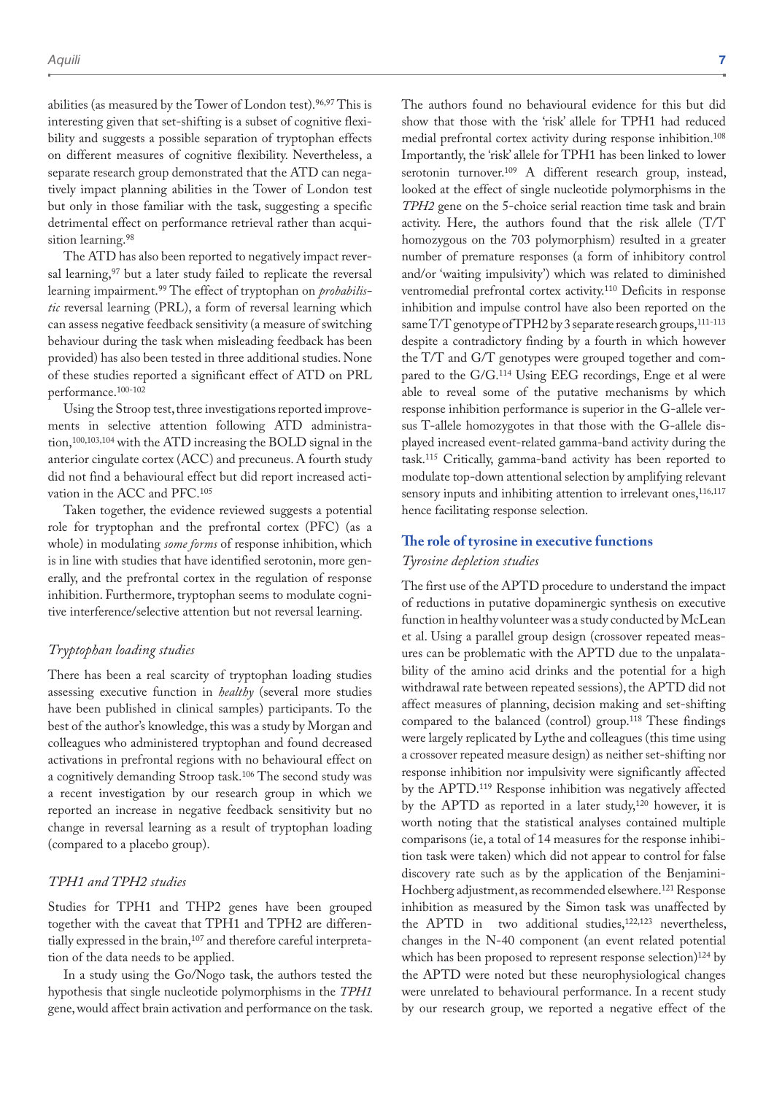abilities (as measured by the Tower of London test).96,97 This is interesting given that set-shifting is a subset of cognitive flexibility and suggests a possible separation of tryptophan effects on different measures of cognitive flexibility. Nevertheless, a separate research group demonstrated that the ATD can negatively impact planning abilities in the Tower of London test but only in those familiar with the task, suggesting a specific detrimental effect on performance retrieval rather than acquisition learning.<sup>98</sup>

The ATD has also been reported to negatively impact reversal learning,<sup>97</sup> but a later study failed to replicate the reversal learning impairment.99 The effect of tryptophan on *probabilistic* reversal learning (PRL), a form of reversal learning which can assess negative feedback sensitivity (a measure of switching behaviour during the task when misleading feedback has been provided) has also been tested in three additional studies. None of these studies reported a significant effect of ATD on PRL performance.100-102

Using the Stroop test, three investigations reported improvements in selective attention following ATD administration,100,103,104 with the ATD increasing the BOLD signal in the anterior cingulate cortex (ACC) and precuneus. A fourth study did not find a behavioural effect but did report increased activation in the ACC and PFC.105

Taken together, the evidence reviewed suggests a potential role for tryptophan and the prefrontal cortex (PFC) (as a whole) in modulating *some forms* of response inhibition, which is in line with studies that have identified serotonin, more generally, and the prefrontal cortex in the regulation of response inhibition. Furthermore, tryptophan seems to modulate cognitive interference/selective attention but not reversal learning.

#### *Tryptophan loading studies*

There has been a real scarcity of tryptophan loading studies assessing executive function in *healthy* (several more studies have been published in clinical samples) participants. To the best of the author's knowledge, this was a study by Morgan and colleagues who administered tryptophan and found decreased activations in prefrontal regions with no behavioural effect on a cognitively demanding Stroop task.106 The second study was a recent investigation by our research group in which we reported an increase in negative feedback sensitivity but no change in reversal learning as a result of tryptophan loading (compared to a placebo group).

#### *TPH1 and TPH2 studies*

Studies for TPH1 and THP2 genes have been grouped together with the caveat that TPH1 and TPH2 are differentially expressed in the brain,<sup>107</sup> and therefore careful interpretation of the data needs to be applied.

In a study using the Go/Nogo task, the authors tested the hypothesis that single nucleotide polymorphisms in the *TPH1* gene, would affect brain activation and performance on the task. The authors found no behavioural evidence for this but did show that those with the 'risk' allele for TPH1 had reduced medial prefrontal cortex activity during response inhibition.108 Importantly, the 'risk' allele for TPH1 has been linked to lower serotonin turnover.<sup>109</sup> A different research group, instead, looked at the effect of single nucleotide polymorphisms in the *TPH2* gene on the 5-choice serial reaction time task and brain activity. Here, the authors found that the risk allele (T/T homozygous on the 703 polymorphism) resulted in a greater number of premature responses (a form of inhibitory control and/or 'waiting impulsivity') which was related to diminished ventromedial prefrontal cortex activity.110 Deficits in response inhibition and impulse control have also been reported on the same  $T/T$  genotype of  $TPH2$  by 3 separate research groups,  $^{111-113}$ despite a contradictory finding by a fourth in which however the T/T and G/T genotypes were grouped together and compared to the G/G.114 Using EEG recordings, Enge et al were able to reveal some of the putative mechanisms by which response inhibition performance is superior in the G-allele versus T-allele homozygotes in that those with the G-allele displayed increased event-related gamma-band activity during the task.115 Critically, gamma-band activity has been reported to modulate top-down attentional selection by amplifying relevant sensory inputs and inhibiting attention to irrelevant ones, 116,117 hence facilitating response selection.

### **The role of tyrosine in executive functions**

### *Tyrosine depletion studies*

The first use of the APTD procedure to understand the impact of reductions in putative dopaminergic synthesis on executive function in healthy volunteer was a study conducted by McLean et al. Using a parallel group design (crossover repeated measures can be problematic with the APTD due to the unpalatability of the amino acid drinks and the potential for a high withdrawal rate between repeated sessions), the APTD did not affect measures of planning, decision making and set-shifting compared to the balanced (control) group.118 These findings were largely replicated by Lythe and colleagues (this time using a crossover repeated measure design) as neither set-shifting nor response inhibition nor impulsivity were significantly affected by the APTD.119 Response inhibition was negatively affected by the APTD as reported in a later study,<sup>120</sup> however, it is worth noting that the statistical analyses contained multiple comparisons (ie, a total of 14 measures for the response inhibition task were taken) which did not appear to control for false discovery rate such as by the application of the Benjamini-Hochberg adjustment, as recommended elsewhere.121 Response inhibition as measured by the Simon task was unaffected by the APTD in two additional studies,<sup>122,123</sup> nevertheless, changes in the N-40 component (an event related potential which has been proposed to represent response selection)<sup>124</sup> by the APTD were noted but these neurophysiological changes were unrelated to behavioural performance. In a recent study by our research group, we reported a negative effect of the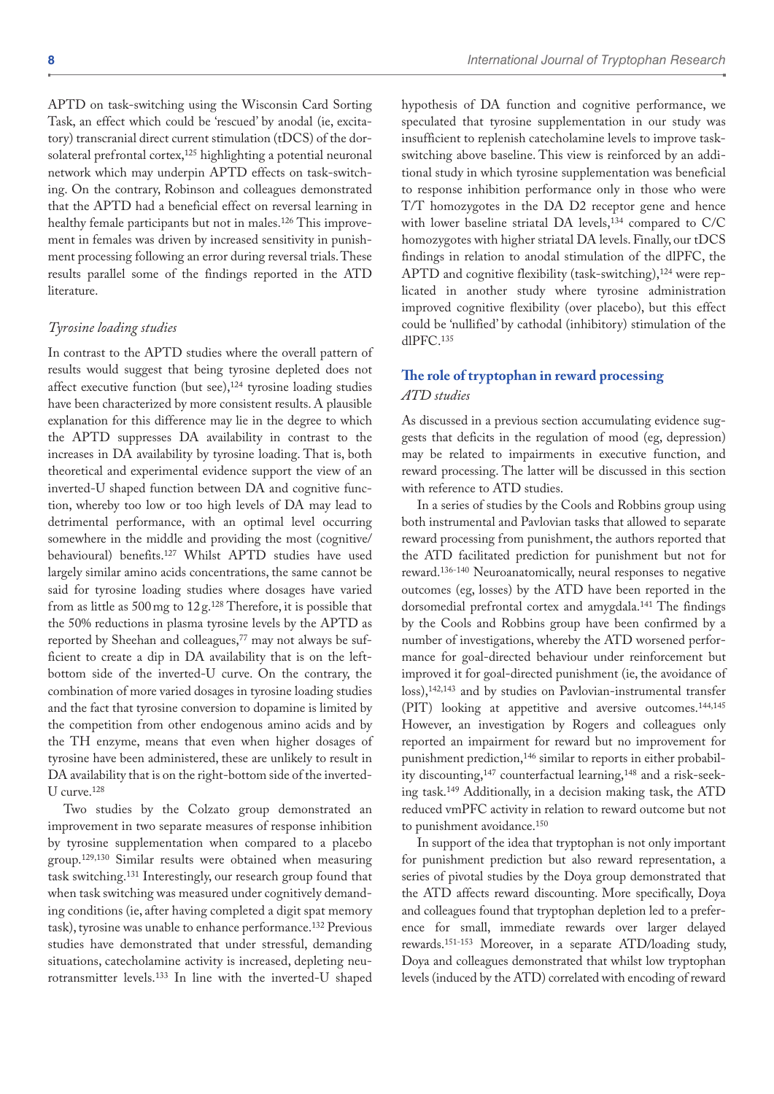APTD on task-switching using the Wisconsin Card Sorting Task, an effect which could be 'rescued' by anodal (ie, excitatory) transcranial direct current stimulation (tDCS) of the dorsolateral prefrontal cortex,125 highlighting a potential neuronal network which may underpin APTD effects on task-switching. On the contrary, Robinson and colleagues demonstrated that the APTD had a beneficial effect on reversal learning in healthy female participants but not in males.126 This improvement in females was driven by increased sensitivity in punishment processing following an error during reversal trials. These results parallel some of the findings reported in the ATD literature.

#### *Tyrosine loading studies*

In contrast to the APTD studies where the overall pattern of results would suggest that being tyrosine depleted does not affect executive function (but see),<sup>124</sup> tyrosine loading studies have been characterized by more consistent results. A plausible explanation for this difference may lie in the degree to which the APTD suppresses DA availability in contrast to the increases in DA availability by tyrosine loading. That is, both theoretical and experimental evidence support the view of an inverted-U shaped function between DA and cognitive function, whereby too low or too high levels of DA may lead to detrimental performance, with an optimal level occurring somewhere in the middle and providing the most (cognitive/ behavioural) benefits.127 Whilst APTD studies have used largely similar amino acids concentrations, the same cannot be said for tyrosine loading studies where dosages have varied from as little as  $500 \,\mathrm{mg}$  to  $12 \,\mathrm{g}$ .<sup>128</sup> Therefore, it is possible that the 50% reductions in plasma tyrosine levels by the APTD as reported by Sheehan and colleagues,<sup>77</sup> may not always be sufficient to create a dip in DA availability that is on the leftbottom side of the inverted-U curve. On the contrary, the combination of more varied dosages in tyrosine loading studies and the fact that tyrosine conversion to dopamine is limited by the competition from other endogenous amino acids and by the TH enzyme, means that even when higher dosages of tyrosine have been administered, these are unlikely to result in DA availability that is on the right-bottom side of the inverted-U curve.128

Two studies by the Colzato group demonstrated an improvement in two separate measures of response inhibition by tyrosine supplementation when compared to a placebo group.129,130 Similar results were obtained when measuring task switching.131 Interestingly, our research group found that when task switching was measured under cognitively demanding conditions (ie, after having completed a digit spat memory task), tyrosine was unable to enhance performance.132 Previous studies have demonstrated that under stressful, demanding situations, catecholamine activity is increased, depleting neurotransmitter levels.133 In line with the inverted-U shaped

hypothesis of DA function and cognitive performance, we speculated that tyrosine supplementation in our study was insufficient to replenish catecholamine levels to improve taskswitching above baseline. This view is reinforced by an additional study in which tyrosine supplementation was beneficial to response inhibition performance only in those who were T/T homozygotes in the DA D2 receptor gene and hence with lower baseline striatal DA levels,<sup>134</sup> compared to C/C homozygotes with higher striatal DA levels. Finally, our tDCS findings in relation to anodal stimulation of the dlPFC, the APTD and cognitive flexibility (task-switching),<sup>124</sup> were replicated in another study where tyrosine administration improved cognitive flexibility (over placebo), but this effect could be 'nullified' by cathodal (inhibitory) stimulation of the dlPFC.135

## **The role of tryptophan in reward processing** *ATD studies*

As discussed in a previous section accumulating evidence suggests that deficits in the regulation of mood (eg, depression) may be related to impairments in executive function, and reward processing. The latter will be discussed in this section with reference to ATD studies.

In a series of studies by the Cools and Robbins group using both instrumental and Pavlovian tasks that allowed to separate reward processing from punishment, the authors reported that the ATD facilitated prediction for punishment but not for reward.136-140 Neuroanatomically, neural responses to negative outcomes (eg, losses) by the ATD have been reported in the dorsomedial prefrontal cortex and amygdala.141 The findings by the Cools and Robbins group have been confirmed by a number of investigations, whereby the ATD worsened performance for goal-directed behaviour under reinforcement but improved it for goal-directed punishment (ie, the avoidance of loss),<sup>142,143</sup> and by studies on Pavlovian-instrumental transfer (PIT) looking at appetitive and aversive outcomes.144,145 However, an investigation by Rogers and colleagues only reported an impairment for reward but no improvement for punishment prediction,<sup>146</sup> similar to reports in either probability discounting,147 counterfactual learning,148 and a risk-seeking task.149 Additionally, in a decision making task, the ATD reduced vmPFC activity in relation to reward outcome but not to punishment avoidance.150

In support of the idea that tryptophan is not only important for punishment prediction but also reward representation, a series of pivotal studies by the Doya group demonstrated that the ATD affects reward discounting. More specifically, Doya and colleagues found that tryptophan depletion led to a preference for small, immediate rewards over larger delayed rewards.151-153 Moreover, in a separate ATD/loading study, Doya and colleagues demonstrated that whilst low tryptophan levels (induced by the ATD) correlated with encoding of reward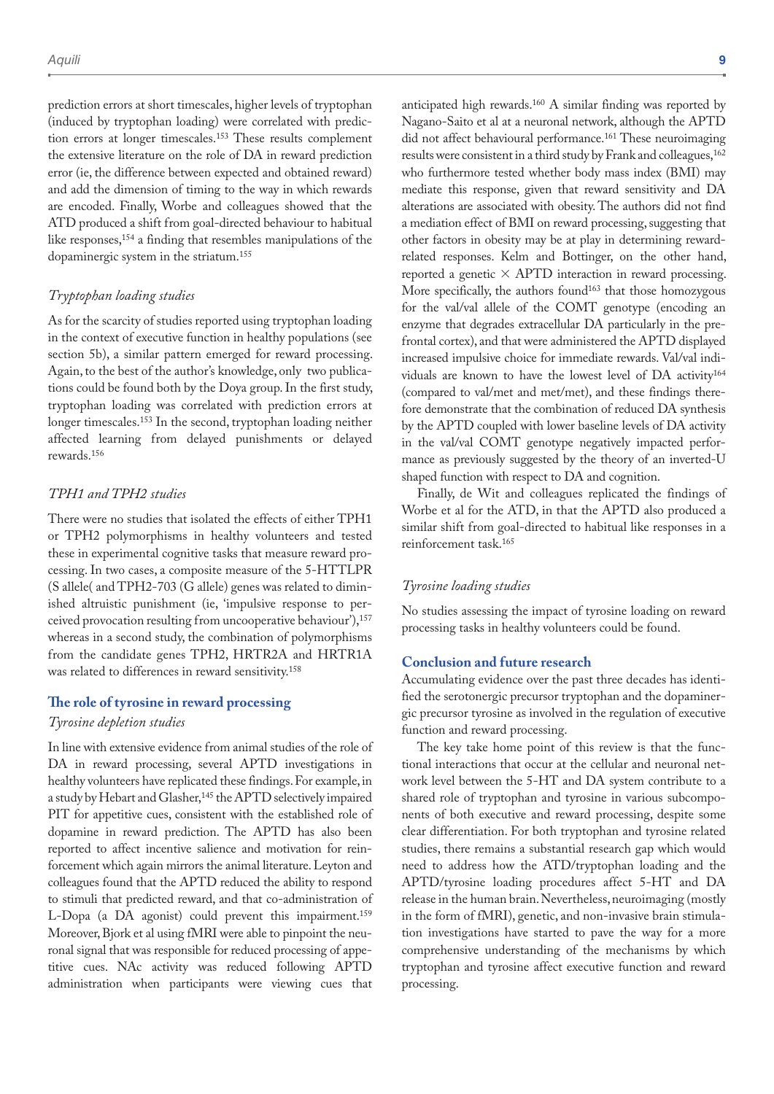prediction errors at short timescales, higher levels of tryptophan (induced by tryptophan loading) were correlated with prediction errors at longer timescales.153 These results complement the extensive literature on the role of DA in reward prediction error (ie, the difference between expected and obtained reward) and add the dimension of timing to the way in which rewards are encoded. Finally, Worbe and colleagues showed that the ATD produced a shift from goal-directed behaviour to habitual like responses,<sup>154</sup> a finding that resembles manipulations of the dopaminergic system in the striatum.155

#### *Tryptophan loading studies*

As for the scarcity of studies reported using tryptophan loading in the context of executive function in healthy populations (see section 5b), a similar pattern emerged for reward processing. Again, to the best of the author's knowledge, only two publications could be found both by the Doya group. In the first study, tryptophan loading was correlated with prediction errors at longer timescales.153 In the second, tryptophan loading neither affected learning from delayed punishments or delayed rewards.156

#### *TPH1 and TPH2 studies*

There were no studies that isolated the effects of either TPH1 or TPH2 polymorphisms in healthy volunteers and tested these in experimental cognitive tasks that measure reward processing. In two cases, a composite measure of the 5-HTTLPR (S allele( and TPH2-703 (G allele) genes was related to diminished altruistic punishment (ie, 'impulsive response to perceived provocation resulting from uncooperative behaviour'),157 whereas in a second study, the combination of polymorphisms from the candidate genes TPH2, HRTR2A and HRTR1A was related to differences in reward sensitivity.158

### **The role of tyrosine in reward processing**

#### *Tyrosine depletion studies*

In line with extensive evidence from animal studies of the role of DA in reward processing, several APTD investigations in healthy volunteers have replicated these findings. For example, in a study by Hebart and Glasher,<sup>145</sup> the APTD selectively impaired PIT for appetitive cues, consistent with the established role of dopamine in reward prediction. The APTD has also been reported to affect incentive salience and motivation for reinforcement which again mirrors the animal literature. Leyton and colleagues found that the APTD reduced the ability to respond to stimuli that predicted reward, and that co-administration of L-Dopa (a DA agonist) could prevent this impairment.159 Moreover, Bjork et al using fMRI were able to pinpoint the neuronal signal that was responsible for reduced processing of appetitive cues. NAc activity was reduced following APTD administration when participants were viewing cues that

anticipated high rewards.160 A similar finding was reported by Nagano-Saito et al at a neuronal network, although the APTD did not affect behavioural performance.161 These neuroimaging results were consistent in a third study by Frank and colleagues,<sup>162</sup> who furthermore tested whether body mass index (BMI) may mediate this response, given that reward sensitivity and DA alterations are associated with obesity. The authors did not find a mediation effect of BMI on reward processing, suggesting that other factors in obesity may be at play in determining rewardrelated responses. Kelm and Bottinger, on the other hand, reported a genetic  $\times$  APTD interaction in reward processing. More specifically, the authors found<sup>163</sup> that those homozygous for the val/val allele of the COMT genotype (encoding an enzyme that degrades extracellular DA particularly in the prefrontal cortex), and that were administered the APTD displayed increased impulsive choice for immediate rewards. Val/val individuals are known to have the lowest level of DA activity164 (compared to val/met and met/met), and these findings therefore demonstrate that the combination of reduced DA synthesis by the APTD coupled with lower baseline levels of DA activity in the val/val COMT genotype negatively impacted performance as previously suggested by the theory of an inverted-U shaped function with respect to DA and cognition.

Finally, de Wit and colleagues replicated the findings of Worbe et al for the ATD, in that the APTD also produced a similar shift from goal-directed to habitual like responses in a reinforcement task.165

#### *Tyrosine loading studies*

No studies assessing the impact of tyrosine loading on reward processing tasks in healthy volunteers could be found.

### **Conclusion and future research**

Accumulating evidence over the past three decades has identified the serotonergic precursor tryptophan and the dopaminergic precursor tyrosine as involved in the regulation of executive function and reward processing.

The key take home point of this review is that the functional interactions that occur at the cellular and neuronal network level between the 5-HT and DA system contribute to a shared role of tryptophan and tyrosine in various subcomponents of both executive and reward processing, despite some clear differentiation. For both tryptophan and tyrosine related studies, there remains a substantial research gap which would need to address how the ATD/tryptophan loading and the APTD/tyrosine loading procedures affect 5-HT and DA release in the human brain. Nevertheless, neuroimaging (mostly in the form of fMRI), genetic, and non-invasive brain stimulation investigations have started to pave the way for a more comprehensive understanding of the mechanisms by which tryptophan and tyrosine affect executive function and reward processing.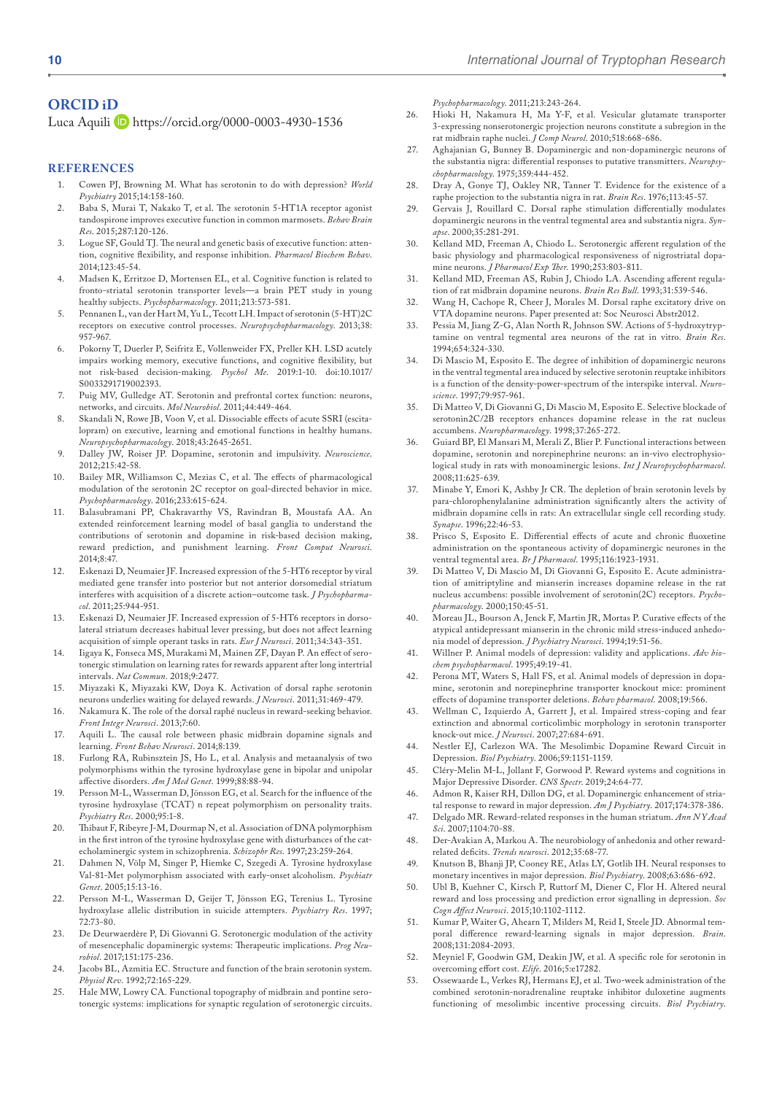### **ORCID iD**

Luca Aquili D <https://orcid.org/0000-0003-4930-1536>

#### **References**

- 1. Cowen PJ, Browning M. What has serotonin to do with depression? *World Psychiatry* 2015;14:158-160.
- 2. Baba S, Murai T, Nakako T, et al. The serotonin 5-HT1A receptor agonist tandospirone improves executive function in common marmosets. *Behav Brain Res*. 2015;287:120-126.
- 3. Logue SF, Gould TJ. The neural and genetic basis of executive function: attention, cognitive flexibility, and response inhibition. *Pharmacol Biochem Behav*. 2014;123:45-54.
- 4. Madsen K, Erritzoe D, Mortensen EL, et al. Cognitive function is related to fronto-striatal serotonin transporter levels—a brain PET study in young healthy subjects. *Psychopharmacology*. 2011;213:573-581.
- 5. Pennanen L, van der Hart M, Yu L, Tecott LH. Impact of serotonin (5-HT)2C receptors on executive control processes. *Neuropsychopharmacology*. 2013;38: 957-967.
- 6. Pokorny T, Duerler P, Seifritz E, Vollenweider FX, Preller KH. LSD acutely impairs working memory, executive functions, and cognitive flexibility, but not risk-based decision-making. *Psychol Me*. 2019:1-10. doi:10.1017/ S0033291719002393.
- 7. Puig MV, Gulledge AT. Serotonin and prefrontal cortex function: neurons, networks, and circuits. *Mol Neurobiol*. 2011;44:449-464.
- 8. Skandali N, Rowe JB, Voon V, et al. Dissociable effects of acute SSRI (escitalopram) on executive, learning and emotional functions in healthy humans. *Neuropsychopharmacology*. 2018;43:2645-2651.
- 9. Dalley JW, Roiser JP. Dopamine, serotonin and impulsivity. *Neuroscience*. 2012;215:42-58.
- 10. Bailey MR, Williamson C, Mezias C, et al. The effects of pharmacological modulation of the serotonin 2C receptor on goal-directed behavior in mice. *Psychopharmacology*. 2016;233:615-624.
- 11. Balasubramani PP, Chakravarthy VS, Ravindran B, Moustafa AA. An extended reinforcement learning model of basal ganglia to understand the contributions of serotonin and dopamine in risk-based decision making, reward prediction, and punishment learning. *Front Comput Neurosci*. 2014;8:47.
- 12. Eskenazi D, Neumaier JF. Increased expression of the 5-HT6 receptor by viral mediated gene transfer into posterior but not anterior dorsomedial striatum interferes with acquisition of a discrete action–outcome task. *J Psychopharmacol*. 2011;25:944-951.
- 13. Eskenazi D, Neumaier JF. Increased expression of 5-HT6 receptors in dorsolateral striatum decreases habitual lever pressing, but does not affect learning acquisition of simple operant tasks in rats. *Eur J Neurosci*. 2011;34:343-351.
- 14. Iigaya K, Fonseca MS, Murakami M, Mainen ZF, Dayan P. An effect of serotonergic stimulation on learning rates for rewards apparent after long intertrial intervals. *Nat Commun*. 2018;9:2477.
- 15. Miyazaki K, Miyazaki KW, Doya K. Activation of dorsal raphe serotonin neurons underlies waiting for delayed rewards. *J Neurosci*. 2011;31:469-479.
- 16. Nakamura K. The role of the dorsal raphé nucleus in reward-seeking behavior. *Front Integr Neurosci*. 2013;7:60.
- 17. Aquili L. The causal role between phasic midbrain dopamine signals and learning. *Front Behav Neurosci*. 2014;8:139.
- 18. Furlong RA, Rubinsztein JS, Ho L, et al. Analysis and metaanalysis of two polymorphisms within the tyrosine hydroxylase gene in bipolar and unipolar affective disorders. *Am J Med Genet*. 1999;88:88-94.
- 19. Persson M-L, Wasserman D, Jönsson EG, et al. Search for the influence of the tyrosine hydroxylase (TCAT) n repeat polymorphism on personality traits. *Psychiatry Res*. 2000;95:1-8.
- 20. Thibaut F, Ribeyre J-M, Dourmap N, et al. Association of DNA polymorphism in the first intron of the tyrosine hydroxylase gene with disturbances of the catecholaminergic system in schizophrenia. *Schizophr Res*. 1997;23:259-264.
- 21. Dahmen N, Völp M, Singer P, Hiemke C, Szegedi A. Tyrosine hydroxylase Val-81-Met polymorphism associated with early-onset alcoholism. *Psychiatr Genet*. 2005;15:13-16.
- 22. Persson M-L, Wasserman D, Geijer T, Jönsson EG, Terenius L. Tyrosine hydroxylase allelic distribution in suicide attempters. *Psychiatry Res*. 1997; 72:73-80.
- 23. De Deurwaerdère P, Di Giovanni G. Serotonergic modulation of the activity of mesencephalic dopaminergic systems: Therapeutic implications. *Prog Neurobiol*. 2017;151:175-236.
- 24. Jacobs BL, Azmitia EC. Structure and function of the brain serotonin system. *Physiol Rev*. 1992;72:165-229.
- 25. Hale MW, Lowry CA. Functional topography of midbrain and pontine serotonergic systems: implications for synaptic regulation of serotonergic circuits.

*Psychopharmacology*. 2011;213:243-264.

- 26. Hioki H, Nakamura H, Ma Y-F, et al. Vesicular glutamate transporter 3-expressing nonserotonergic projection neurons constitute a subregion in the rat midbrain raphe nuclei. *J Comp Neurol*. 2010;518:668-686.
- 27. Aghajanian G, Bunney B. Dopaminergic and non-dopaminergic neurons of the substantia nigra: differential responses to putative transmitters. *Neuropsychopharmacology*. 1975;359:444-452.
- 28. Dray A, Gonye TJ, Oakley NR, Tanner T. Evidence for the existence of a raphe projection to the substantia nigra in rat. *Brain Res*. 1976;113:45-57.
- 29. Gervais J, Rouillard C. Dorsal raphe stimulation differentially modulates dopaminergic neurons in the ventral tegmental area and substantia nigra. *Synapse*. 2000;35:281-291.
- 30. Kelland MD, Freeman A, Chiodo L. Serotonergic afferent regulation of the basic physiology and pharmacological responsiveness of nigrostriatal dopamine neurons. *J Pharmacol Exp Ther*. 1990;253:803-811.
- 31. Kelland MD, Freeman AS, Rubin J, Chiodo LA. Ascending afferent regulation of rat midbrain dopamine neurons. *Brain Res Bull*. 1993;31:539-546.
- 32. Wang H, Cachope R, Cheer J, Morales M. Dorsal raphe excitatory drive on VTA dopamine neurons. Paper presented at: Soc Neurosci Abstr2012.
- 33. Pessia M, Jiang Z-G, Alan North R, Johnson SW. Actions of 5-hydroxytryptamine on ventral tegmental area neurons of the rat in vitro. *Brain Res*. 1994;654:324-330.
- 34. Di Mascio M, Esposito E. The degree of inhibition of dopaminergic neurons in the ventral tegmental area induced by selective serotonin reuptake inhibitors is a function of the density-power-spectrum of the interspike interval. *Neuroscience*. 1997;79:957-961.
- 35. Di Matteo V, Di Giovanni G, Di Mascio M, Esposito E. Selective blockade of serotonin2C/2B receptors enhances dopamine release in the rat nucleus accumbens. *Neuropharmacology*. 1998;37:265-272.
- 36. Guiard BP, El Mansari M, Merali Z, Blier P. Functional interactions between dopamine, serotonin and norepinephrine neurons: an in-vivo electrophysiological study in rats with monoaminergic lesions. *Int J Neuropsychopharmacol*. 2008;11:625-639.
- 37. Minabe Y, Emori K, Ashby Jr CR. The depletion of brain serotonin levels by para-chlorophenylalanine administration significantly alters the activity of midbrain dopamine cells in rats: An extracellular single cell recording study. *Synapse*. 1996;22:46-53.
- 38. Prisco S, Esposito E. Differential effects of acute and chronic fluoxetine administration on the spontaneous activity of dopaminergic neurones in the ventral tegmental area. *Br J Pharmacol*. 1995;116:1923-1931.
- 39. Di Matteo V, Di Mascio M, Di Giovanni G, Esposito E. Acute administration of amitriptyline and mianserin increases dopamine release in the rat nucleus accumbens: possible involvement of serotonin(2C) receptors. *Psychopharmacology*. 2000;150:45-51.
- 40. Moreau JL, Bourson A, Jenck F, Martin JR, Mortas P. Curative effects of the atypical antidepressant mianserin in the chronic mild stress-induced anhedonia model of depression. *J Psychiatry Neurosci*. 1994;19:51-56.
- 41. Willner P. Animal models of depression: validity and applications. *Adv biochem psychopharmacol*. 1995;49:19-41.
- 42. Perona MT, Waters S, Hall FS, et al. Animal models of depression in dopamine, serotonin and norepinephrine transporter knockout mice: prominent effects of dopamine transporter deletions. *Behav pharmacol*. 2008;19:566.
- 43. Wellman C, Izquierdo A, Garrett J, et al. Impaired stress-coping and fear extinction and abnormal corticolimbic morphology in serotonin transporter knock-out mice. *J Neurosci*. 2007;27:684-691.
- 44. Nestler EJ, Carlezon WA. The Mesolimbic Dopamine Reward Circuit in Depression. *Biol Psychiatry*. 2006;59:1151-1159.
- 45. Cléry-Melin M-L, Jollant F, Gorwood P. Reward systems and cognitions in Major Depressive Disorder. *CNS Spectr*. 2019;24:64-77.
- 46. Admon R, Kaiser RH, Dillon DG, et al. Dopaminergic enhancement of striatal response to reward in major depression. *Am J Psychiatry*. 2017;174:378-386.
- 47. Delgado MR. Reward-related responses in the human striatum. *Ann N Y Acad Sci*. 2007;1104:70-88.
- 48. Der-Avakian A, Markou A. The neurobiology of anhedonia and other rewardrelated deficits. *Trends neurosci*. 2012;35:68-77.
- 49. Knutson B, Bhanji JP, Cooney RE, Atlas LY, Gotlib IH. Neural responses to monetary incentives in major depression. *Biol Psychiatry*. 2008;63:686-692.
- 50. Ubl B, Kuehner C, Kirsch P, Ruttorf M, Diener C, Flor H. Altered neural reward and loss processing and prediction error signalling in depression. *Soc Cogn Affect Neurosci*. 2015;10:1102-1112.
- 51. Kumar P, Waiter G, Ahearn T, Milders M, Reid I, Steele JD. Abnormal temporal difference reward-learning signals in major depression. *Brain*. 2008;131:2084-2093.
- 52. Meyniel F, Goodwin GM, Deakin JW, et al. A specific role for serotonin in overcoming effort cost. *Elife*. 2016;5:e17282.
- Ossewaarde L, Verkes RJ, Hermans EJ, et al. Two-week administration of the combined serotonin-noradrenaline reuptake inhibitor duloxetine augments functioning of mesolimbic incentive processing circuits. *Biol Psychiatry*.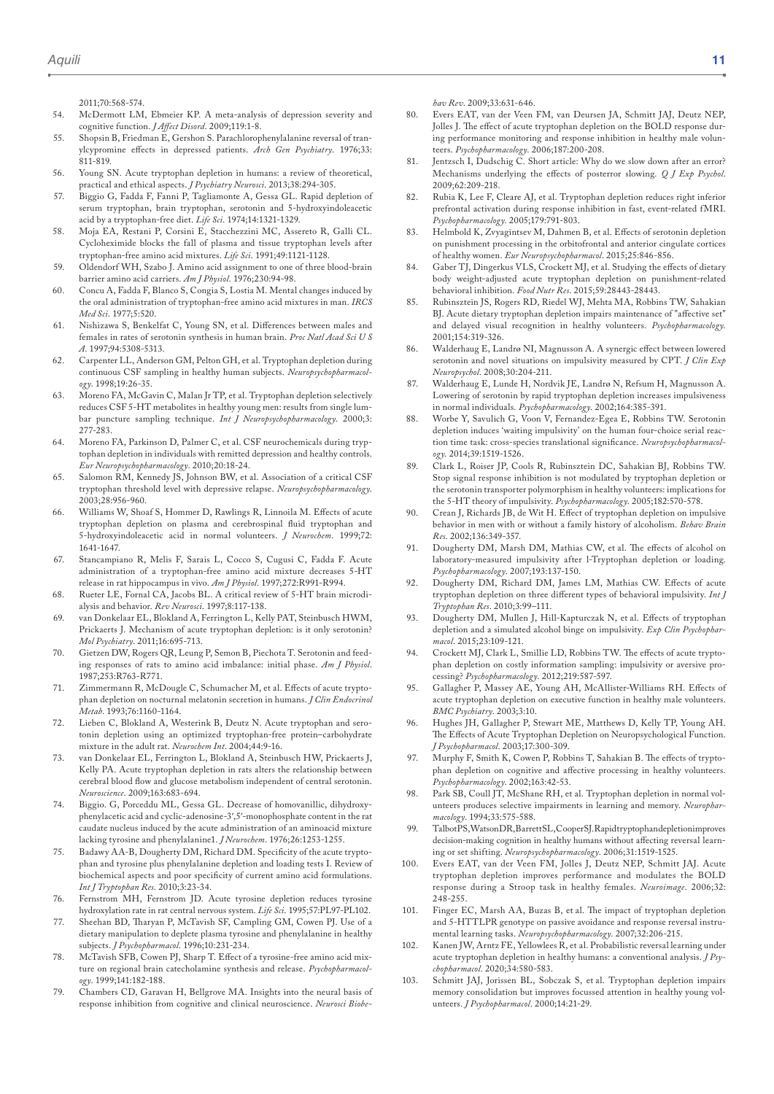2011;70:568-574.

- 54. McDermott LM, Ebmeier KP. A meta-analysis of depression severity and cognitive function. *J Affect Disord*. 2009;119:1-8.
- 55. Shopsin B, Friedman E, Gershon S. Parachlorophenylalanine reversal of tranylcypromine effects in depressed patients. *Arch Gen Psychiatry*. 1976;33: 811-819.
- 56. Young SN. Acute tryptophan depletion in humans: a review of theoretical, practical and ethical aspects. *J Psychiatry Neurosci*. 2013;38:294-305.
- 57. Biggio G, Fadda F, Fanni P, Tagliamonte A, Gessa GL. Rapid depletion of serum tryptophan, brain tryptophan, serotonin and 5-hydroxyindoleacetic acid by a tryptophan-free diet. *Life Sci*. 1974;14:1321-1329.
- 58. Moja EA, Restani P, Corsini E, Stacchezzini MC, Assereto R, Galli CL. Cycloheximide blocks the fall of plasma and tissue tryptophan levels after tryptophan-free amino acid mixtures. *Life Sci*. 1991;49:1121-1128.
- 59. Oldendorf WH, Szabo J. Amino acid assignment to one of three blood-brain barrier amino acid carriers. *Am J Physiol*. 1976;230:94-98.
- 60. Concu A, Fadda F, Blanco S, Congia S, Lostia M. Mental changes induced by the oral administration of tryptophan-free amino acid mixtures in man. *IRCS Med Sci*. 1977;5:520.
- 61. Nishizawa S, Benkelfat C, Young SN, et al. Differences between males and females in rates of serotonin synthesis in human brain. *Proc Natl Acad Sci U S A*. 1997;94:5308-5313.
- 62. Carpenter LL, Anderson GM, Pelton GH, et al. Tryptophan depletion during continuous CSF sampling in healthy human subjects. *Neuropsychopharmacology*. 1998;19:26-35.
- 63. Moreno FA, McGavin C, Malan Jr TP, et al. Tryptophan depletion selectively reduces CSF 5-HT metabolites in healthy young men: results from single lumbar puncture sampling technique. *Int J Neuropsychopharmacology*. 2000;3: 277-283.
- 64. Moreno FA, Parkinson D, Palmer C, et al. CSF neurochemicals during tryptophan depletion in individuals with remitted depression and healthy controls. *Eur Neuropsychopharmacology*. 2010;20:18-24.
- 65. Salomon RM, Kennedy JS, Johnson BW, et al. Association of a critical CSF tryptophan threshold level with depressive relapse. *Neuropsychopharmacology*. 2003;28:956-960.
- 66. Williams W, Shoaf S, Hommer D, Rawlings R, Linnoila M. Effects of acute tryptophan depletion on plasma and cerebrospinal fluid tryptophan and 5-hydroxyindoleacetic acid in normal volunteers. *J Neurochem*. 1999;72: 1641-1647.
- 67. Stancampiano R, Melis F, Sarais L, Cocco S, Cugusi C, Fadda F. Acute administration of a tryptophan-free amino acid mixture decreases 5-HT release in rat hippocampus in vivo. *Am J Physiol*. 1997;272:R991-R994.
- 68. Rueter LE, Fornal CA, Jacobs BL. A critical review of 5-HT brain microdialysis and behavior. *Rev Neurosci*. 1997;8:117-138.
- 69. van Donkelaar EL, Blokland A, Ferrington L, Kelly PAT, Steinbusch HWM, Prickaerts J. Mechanism of acute tryptophan depletion: is it only serotonin? *Mol Psychiatry*. 2011;16:695-713.
- 70. Gietzen DW, Rogers QR, Leung P, Semon B, Piechota T. Serotonin and feeding responses of rats to amino acid imbalance: initial phase. *Am J Physiol*. 1987;253:R763-R771.
- 71. Zimmermann R, McDougle C, Schumacher M, et al. Effects of acute tryptophan depletion on nocturnal melatonin secretion in humans. *J Clin Endocrinol Metab*. 1993;76:1160-1164.
- 72. Lieben C, Blokland A, Westerink B, Deutz N. Acute tryptophan and serotonin depletion using an optimized tryptophan-free protein–carbohydrate mixture in the adult rat. *Neurochem Int*. 2004;44:9-16.
- 73. van Donkelaar EL, Ferrington L, Blokland A, Steinbusch HW, Prickaerts J, Kelly PA. Acute tryptophan depletion in rats alters the relationship between cerebral blood flow and glucose metabolism independent of central serotonin. *Neuroscience*. 2009;163:683-694.
- 74. Biggio. G, Porceddu ML, Gessa GL. Decrease of homovanillic, dihydroxyphenylacetic acid and cyclic-adenosine-3′,5′-monophosphate content in the rat caudate nucleus induced by the acute administration of an aminoacid mixture lacking tyrosine and phenylalanine1. *J Neurochem*. 1976;26:1253-1255.
- 75. Badawy AA-B, Dougherty DM, Richard DM. Specificity of the acute tryptophan and tyrosine plus phenylalanine depletion and loading tests I. Review of biochemical aspects and poor specificity of current amino acid formulations. *Int J Tryptophan Res*. 2010;3:23-34.
- 76. Fernstrom MH, Fernstrom JD. Acute tyrosine depletion reduces tyrosine hydroxylation rate in rat central nervous system. *Life Sci*. 1995;57:PL97-PL102.
- 77. Sheehan BD, Tharyan P, McTavish SF, Campling GM, Cowen PJ. Use of a dietary manipulation to deplete plasma tyrosine and phenylalanine in healthy subjects. *J Psychopharmacol*. 1996;10:231-234.
- 78. McTavish SFB, Cowen PJ, Sharp T. Effect of a tyrosine-free amino acid mixture on regional brain catecholamine synthesis and release. *Psychopharmacology*. 1999;141:182-188.
- 79. Chambers CD, Garavan H, Bellgrove MA. Insights into the neural basis of response inhibition from cognitive and clinical neuroscience. *Neurosci Biobe-*

*hav Rev*. 2009;33:631-646.

- 80. Evers EAT, van der Veen FM, van Deursen JA, Schmitt JAJ, Deutz NEP, Jolles J. The effect of acute tryptophan depletion on the BOLD response during performance monitoring and response inhibition in healthy male volunteers. *Psychopharmacology*. 2006;187:200-208.
- 81. Jentzsch I, Dudschig C. Short article: Why do we slow down after an error? Mechanisms underlying the effects of posterror slowing. *Q J Exp Psychol*. 2009;62:209-218.
- Rubia K, Lee F, Cleare AJ, et al. Tryptophan depletion reduces right inferior prefrontal activation during response inhibition in fast, event-related fMRI. *Psychopharmacology*. 2005;179:791-803.
- 83. Helmbold K, Zvyagintsev M, Dahmen B, et al. Effects of serotonin depletion on punishment processing in the orbitofrontal and anterior cingulate cortices of healthy women. *Eur Neuropsychopharmacol*. 2015;25:846-856.
- 84. Gaber TJ, Dingerkus VLS, Crockett MJ, et al. Studying the effects of dietary body weight-adjusted acute tryptophan depletion on punishment-related behavioral inhibition. *Food Nutr Res*. 2015;59:28443-28443.
- 85. Rubinsztein JS, Rogers RD, Riedel WJ, Mehta MA, Robbins TW, Sahakian BJ. Acute dietary tryptophan depletion impairs maintenance of "affective set" and delayed visual recognition in healthy volunteers. *Psychopharmacology*. 2001;154:319-326.
- 86. Walderhaug E, Landrø NI, Magnusson A. A synergic effect between lowered serotonin and novel situations on impulsivity measured by CPT. *J Clin Exp Neuropsychol*. 2008;30:204-211.
- 87. Walderhaug E, Lunde H, Nordvik JE, Landrø N, Refsum H, Magnusson A. Lowering of serotonin by rapid tryptophan depletion increases impulsiveness in normal individuals. *Psychopharmacology*. 2002;164:385-391.
- 88. Worbe Y, Savulich G, Voon V, Fernandez-Egea E, Robbins TW. Serotonin depletion induces 'waiting impulsivity' on the human four-choice serial reaction time task: cross-species translational significance. *Neuropsychopharmacology*. 2014;39:1519-1526.
- 89. Clark L, Roiser JP, Cools R, Rubinsztein DC, Sahakian BJ, Robbins TW. Stop signal response inhibition is not modulated by tryptophan depletion or the serotonin transporter polymorphism in healthy volunteers: implications for the 5-HT theory of impulsivity. *Psychopharmacology*. 2005;182:570-578.
- 90. Crean J, Richards JB, de Wit H. Effect of tryptophan depletion on impulsive behavior in men with or without a family history of alcoholism. *Behav Brain Res*. 2002;136:349-357.
- 91. Dougherty DM, Marsh DM, Mathias CW, et al. The effects of alcohol on laboratory-measured impulsivity after l-Tryptophan depletion or loading. *Psychopharmacology*. 2007;193:137-150.
- 92. Dougherty DM, Richard DM, James LM, Mathias CW. Effects of acute tryptophan depletion on three different types of behavioral impulsivity. *Int J Tryptophan Res*. 2010;3:99–111.
- 93. Dougherty DM, Mullen J, Hill-Kapturczak N, et al. Effects of tryptophan depletion and a simulated alcohol binge on impulsivity. *Exp Clin Psychopharmacol*. 2015;23:109-121.
- 94. Crockett MJ, Clark L, Smillie LD, Robbins TW. The effects of acute tryptophan depletion on costly information sampling: impulsivity or aversive processing? *Psychopharmacology*. 2012;219:587-597.
- 95. Gallagher P, Massey AE, Young AH, McAllister-Williams RH. Effects of acute tryptophan depletion on executive function in healthy male volunteers. *BMC Psychiatry*. 2003;3:10.
- 96. Hughes JH, Gallagher P, Stewart ME, Matthews D, Kelly TP, Young AH. The Effects of Acute Tryptophan Depletion on Neuropsychological Function. *J Psychopharmacol*. 2003;17:300-309.
- 97. Murphy F, Smith K, Cowen P, Robbins T, Sahakian B. The effects of tryptophan depletion on cognitive and affective processing in healthy volunteers. *Psychopharmacology*. 2002;163:42-53.
- 98. Park SB, Coull JT, McShane RH, et al. Tryptophan depletion in normal volunteers produces selective impairments in learning and memory. *Neuropharmacology*. 1994;33:575-588.
- 99. Talbot PS, Watson DR, Barrett SL, Cooper SJ. Rapid tryptophandepletion improves decision-making cognition in healthy humans without affecting reversal learning or set shifting. *Neuropsychopharmacology*. 2006;31:1519-1525.
- 100. Evers EAT, van der Veen FM, Jolles J, Deutz NEP, Schmitt JAJ. Acute tryptophan depletion improves performance and modulates the BOLD response during a Stroop task in healthy females. *Neuroimage*. 2006;32: 248-255.
- 101. Finger EC, Marsh AA, Buzas B, et al. The impact of tryptophan depletion and 5-HTTLPR genotype on passive avoidance and response reversal instrumental learning tasks. *Neuropsychopharmacology*. 2007;32:206-215.
- 102. Kanen JW, Arntz FE, Yellowlees R, et al. Probabilistic reversal learning under acute tryptophan depletion in healthy humans: a conventional analysis. *J Psychopharmacol*. 2020;34:580-583.
- 103. Schmitt JAJ, Jorissen BL, Sobczak S, et al. Tryptophan depletion impairs memory consolidation but improves focussed attention in healthy young volunteers. *J Psychopharmacol*. 2000;14:21-29.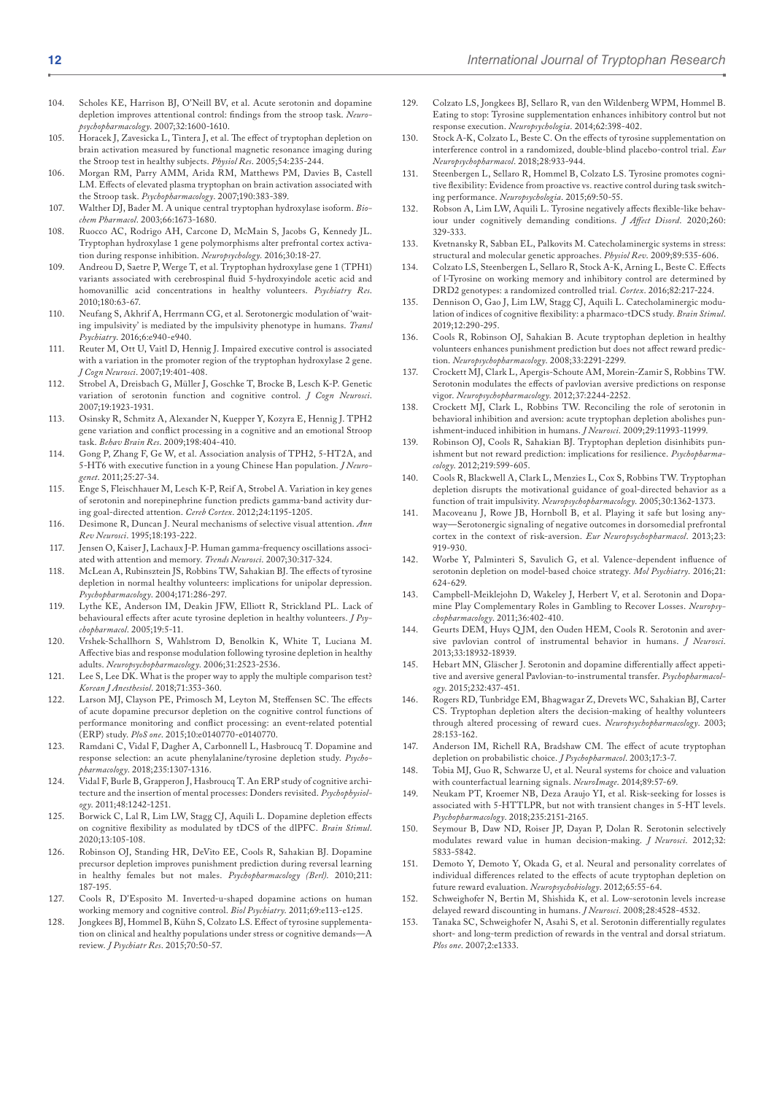- 104. Scholes KE, Harrison BJ, O'Neill BV, et al. Acute serotonin and dopamine depletion improves attentional control: findings from the stroop task. *Neuropsychopharmacology*. 2007;32:1600-1610.
- 105. Horacek J, Zavesicka L, Tintera J, et al. The effect of tryptophan depletion on brain activation measured by functional magnetic resonance imaging during the Stroop test in healthy subjects. *Physiol Res*. 2005;54:235-244.
- 106. Morgan RM, Parry AMM, Arida RM, Matthews PM, Davies B, Castell LM. Effects of elevated plasma tryptophan on brain activation associated with the Stroop task. *Psychopharmacology*. 2007;190:383-389.
- 107. Walther DJ, Bader M. A unique central tryptophan hydroxylase isoform. *Biochem Pharmacol*. 2003;66:1673-1680.
- 108. Ruocco AC, Rodrigo AH, Carcone D, McMain S, Jacobs G, Kennedy JL. Tryptophan hydroxylase 1 gene polymorphisms alter prefrontal cortex activation during response inhibition. *Neuropsychology*. 2016;30:18-27.
- 109. Andreou D, Saetre P, Werge T, et al. Tryptophan hydroxylase gene 1 (TPH1) variants associated with cerebrospinal fluid 5-hydroxyindole acetic acid and homovanillic acid concentrations in healthy volunteers. *Psychiatry Res*. 2010;180:63-67.
- 110. Neufang S, Akhrif A, Herrmann CG, et al. Serotonergic modulation of 'waiting impulsivity' is mediated by the impulsivity phenotype in humans. *Transl Psychiatry*. 2016;6:e940-e940.
- 111. Reuter M, Ott U, Vaitl D, Hennig J. Impaired executive control is associated with a variation in the promoter region of the tryptophan hydroxylase 2 gene. *J Cogn Neurosci*. 2007;19:401-408.
- 112. Strobel A, Dreisbach G, Müller J, Goschke T, Brocke B, Lesch K-P. Genetic variation of serotonin function and cognitive control. *J Cogn Neurosci*. 2007;19:1923-1931.
- 113. Osinsky R, Schmitz A, Alexander N, Kuepper Y, Kozyra E, Hennig J. TPH2 gene variation and conflict processing in a cognitive and an emotional Stroop task. *Behav Brain Res*. 2009;198:404-410.
- 114. Gong P, Zhang F, Ge W, et al. Association analysis of TPH2, 5-HT2A, and 5-HT6 with executive function in a young Chinese Han population. *J Neurogenet*. 2011;25:27-34.
- 115. Enge S, Fleischhauer M, Lesch K-P, Reif A, Strobel A. Variation in key genes of serotonin and norepinephrine function predicts gamma-band activity during goal-directed attention. *Cereb Cortex*. 2012;24:1195-1205.
- 116. Desimone R, Duncan J. Neural mechanisms of selective visual attention. *Ann Rev Neurosci*. 1995;18:193-222.
- 117. Jensen O, Kaiser J, Lachaux J-P. Human gamma-frequency oscillations associated with attention and memory. *Trends Neurosci*. 2007;30:317-324.
- 118. McLean A, Rubinsztein JS, Robbins TW, Sahakian BJ. The effects of tyrosine depletion in normal healthy volunteers: implications for unipolar depression. *Psychopharmacology*. 2004;171:286-297.
- 119. Lythe KE, Anderson IM, Deakin JFW, Elliott R, Strickland PL. Lack of behavioural effects after acute tyrosine depletion in healthy volunteers. *J Psychopharmacol*. 2005;19:5-11.
- 120. Vrshek-Schallhorn S, Wahlstrom D, Benolkin K, White T, Luciana M. Affective bias and response modulation following tyrosine depletion in healthy adults. *Neuropsychopharmacology*. 2006;31:2523-2536.
- 121. Lee S, Lee DK. What is the proper way to apply the multiple comparison test? *Korean J Anesthesiol*. 2018;71:353-360.
- 122. Larson MJ, Clayson PE, Primosch M, Leyton M, Steffensen SC. The effects of acute dopamine precursor depletion on the cognitive control functions of performance monitoring and conflict processing: an event-related potential (ERP) study. *PloS one*. 2015;10:e0140770-e0140770.
- 123. Ramdani C, Vidal F, Dagher A, Carbonnell L, Hasbroucq T. Dopamine and response selection: an acute phenylalanine/tyrosine depletion study. *Psychopharmacology*. 2018;235:1307-1316.
- 124. Vidal F, Burle B, Grapperon J, Hasbroucq T. An ERP study of cognitive architecture and the insertion of mental processes: Donders revisited. *Psychophysiology*. 2011;48:1242-1251.
- 125. Borwick C, Lal R, Lim LW, Stagg CJ, Aquili L. Dopamine depletion effects on cognitive flexibility as modulated by tDCS of the dlPFC. *Brain Stimul*. 2020;13:105-108.
- 126. Robinson OJ, Standing HR, DeVito EE, Cools R, Sahakian BJ. Dopamine precursor depletion improves punishment prediction during reversal learning in healthy females but not males. *Psychopharmacology (Berl)*. 2010;211: 187-195.
- 127. Cools R, D'Esposito M. Inverted-u-shaped dopamine actions on human working memory and cognitive control. *Biol Psychiatry*. 2011;69:e113-e125.
- 128. Jongkees BJ, Hommel B, Kühn S, Colzato LS. Effect of tyrosine supplementation on clinical and healthy populations under stress or cognitive demands—A review. *J Psychiatr Res*. 2015;70:50-57.
- 129. Colzato LS, Jongkees BJ, Sellaro R, van den Wildenberg WPM, Hommel B. Eating to stop: Tyrosine supplementation enhances inhibitory control but not response execution. *Neuropsychologia*. 2014;62:398-402.
- 130. Stock A-K, Colzato L, Beste C. On the effects of tyrosine supplementation on interference control in a randomized, double-blind placebo-control trial. *Eur Neuropsychopharmacol*. 2018;28:933-944.
- 131. Steenbergen L, Sellaro R, Hommel B, Colzato LS. Tyrosine promotes cognitive flexibility: Evidence from proactive vs. reactive control during task switching performance. *Neuropsychologia*. 2015;69:50-55.
- 132. Robson A, Lim LW, Aquili L. Tyrosine negatively affects flexible-like behaviour under cognitively demanding conditions. *J Affect Disord*. 2020;260: 329-333.
- 133. Kvetnansky R, Sabban EL, Palkovits M. Catecholaminergic systems in stress: structural and molecular genetic approaches. *Physiol Rev*. 2009;89:535-606.
- 134. Colzato LS, Steenbergen L, Sellaro R, Stock A-K, Arning L, Beste C. Effects of l-Tyrosine on working memory and inhibitory control are determined by DRD2 genotypes: a randomized controlled trial. *Cortex*. 2016;82:217-224.
- 135. Dennison O, Gao J, Lim LW, Stagg CJ, Aquili L. Catecholaminergic modulation of indices of cognitive flexibility: a pharmaco-tDCS study. *Brain Stimul*. 2019;12:290-295.
- 136. Cools R, Robinson OJ, Sahakian B. Acute tryptophan depletion in healthy volunteers enhances punishment prediction but does not affect reward prediction. *Neuropsychopharmacology*. 2008;33:2291-2299.
- 137. Crockett MJ, Clark L, Apergis-Schoute AM, Morein-Zamir S, Robbins TW. Serotonin modulates the effects of pavlovian aversive predictions on response vigor. *Neuropsychopharmacology*. 2012;37:2244-2252.
- 138. Crockett MJ, Clark L, Robbins TW. Reconciling the role of serotonin in behavioral inhibition and aversion: acute tryptophan depletion abolishes punishment-induced inhibition in humans. *J Neurosci*. 2009;29:11993-11999.
- 139. Robinson OJ, Cools R, Sahakian BJ. Tryptophan depletion disinhibits punishment but not reward prediction: implications for resilience. *Psychopharmacology*. 2012;219:599-605.
- 140. Cools R, Blackwell A, Clark L, Menzies L, Cox S, Robbins TW. Tryptophan depletion disrupts the motivational guidance of goal-directed behavior as a function of trait impulsivity. *Neuropsychopharmacology*. 2005;30:1362-1373.
- 141. Macoveanu J, Rowe JB, Hornboll B, et al. Playing it safe but losing anyway—Serotonergic signaling of negative outcomes in dorsomedial prefrontal cortex in the context of risk-aversion. *Eur Neuropsychopharmacol*. 2013;23: 919-930.
- 142. Worbe Y, Palminteri S, Savulich G, et al. Valence-dependent influence of serotonin depletion on model-based choice strategy. *Mol Psychiatry*. 2016;21: 624-629.
- 143. Campbell-Meiklejohn D, Wakeley J, Herbert V, et al. Serotonin and Dopamine Play Complementary Roles in Gambling to Recover Losses. *Neuropsychopharmacology*. 2011;36:402-410.
- 144. Geurts DEM, Huys QJM, den Ouden HEM, Cools R. Serotonin and aversive pavlovian control of instrumental behavior in humans. *J Neurosci*. 2013;33:18932-18939.
- 145. Hebart MN, Gläscher J. Serotonin and dopamine differentially affect appetitive and aversive general Pavlovian-to-instrumental transfer. *Psychopharmacology*. 2015;232:437-451.
- 146. Rogers RD, Tunbridge EM, Bhagwagar Z, Drevets WC, Sahakian BJ, Carter CS. Tryptophan depletion alters the decision-making of healthy volunteers through altered processing of reward cues. *Neuropsychopharmacology*. 2003; 28:153-162.
- 147. Anderson IM, Richell RA, Bradshaw CM. The effect of acute tryptophan depletion on probabilistic choice. *J Psychopharmacol*. 2003;17:3-7.
- 148. Tobia MJ, Guo R, Schwarze U, et al. Neural systems for choice and valuation with counterfactual learning signals. *NeuroImage*. 2014;89:57-69.
- 149. Neukam PT, Kroemer NB, Deza Araujo YI, et al. Risk-seeking for losses is associated with 5-HTTLPR, but not with transient changes in 5-HT levels. *Psychopharmacology*. 2018;235:2151-2165.
- 150. Seymour B, Daw ND, Roiser JP, Dayan P, Dolan R. Serotonin selectively modulates reward value in human decision-making. *J Neurosci*. 2012;32: 5833-5842.
- 151. Demoto Y, Demoto Y, Okada G, et al. Neural and personality correlates of individual differences related to the effects of acute tryptophan depletion on future reward evaluation. *Neuropsychobiology*. 2012;65:55-64.
- 152. Schweighofer N, Bertin M, Shishida K, et al. Low-serotonin levels increase delayed reward discounting in humans. *J Neurosci*. 2008;28:4528-4532.
- 153. Tanaka SC, Schweighofer N, Asahi S, et al. Serotonin differentially regulates short- and long-term prediction of rewards in the ventral and dorsal striatum. *Plos one*. 2007;2:e1333.